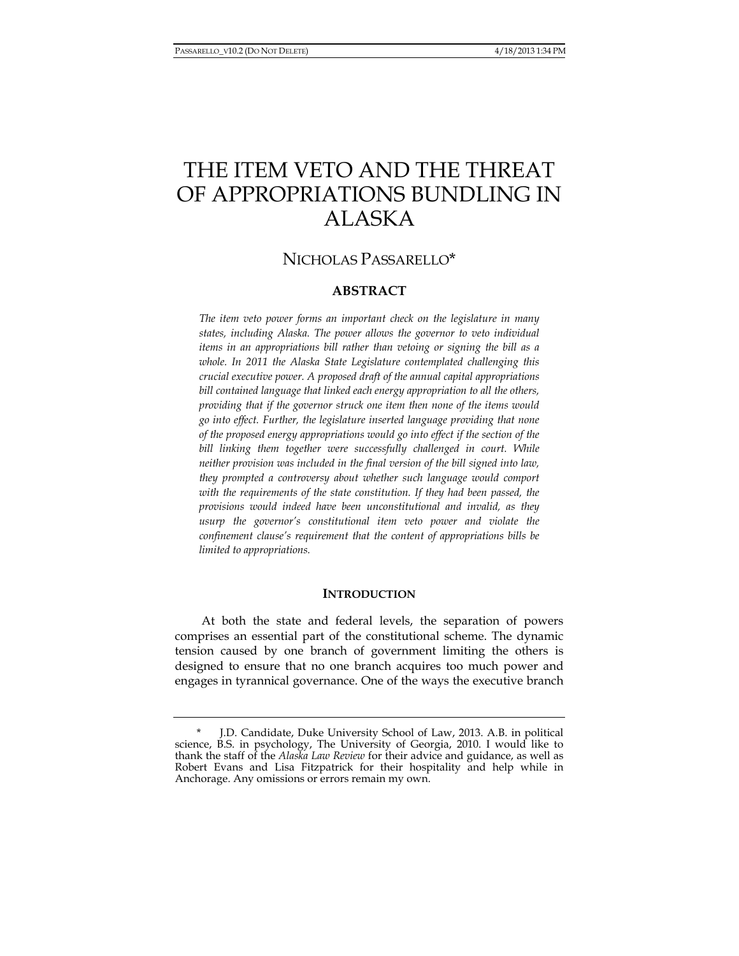# THE ITEM VETO AND THE THREAT OF APPROPRIATIONS BUNDLING IN ALASKA

# NICHOLAS PASSARELLO<sup>\*</sup>

# **ABSTRACT**

*The item veto power forms an important check on the legislature in many states, including Alaska. The power allows the governor to veto individual items in an appropriations bill rather than vetoing or signing the bill as a whole. In 2011 the Alaska State Legislature contemplated challenging this crucial executive power. A proposed draft of the annual capital appropriations bill contained language that linked each energy appropriation to all the others, providing that if the governor struck one item then none of the items would go into effect. Further, the legislature inserted language providing that none of the proposed energy appropriations would go into effect if the section of the bill linking them together were successfully challenged in court. While neither provision was included in the final version of the bill signed into law, they prompted a controversy about whether such language would comport*  with the requirements of the state constitution. If they had been passed, the *provisions would indeed have been unconstitutional and invalid, as they usurp the governor's constitutional item veto power and violate the confinement clause's requirement that the content of appropriations bills be limited to appropriations.* 

## **INTRODUCTION**

At both the state and federal levels, the separation of powers comprises an essential part of the constitutional scheme. The dynamic tension caused by one branch of government limiting the others is designed to ensure that no one branch acquires too much power and engages in tyrannical governance. One of the ways the executive branch

J.D. Candidate, Duke University School of Law, 2013. A.B. in political science, B.S. in psychology, The University of Georgia, 2010. I would like to thank the staff of the *Alaska Law Review* for their advice and guidance, as well as Robert Evans and Lisa Fitzpatrick for their hospitality and help while in Anchorage. Any omissions or errors remain my own.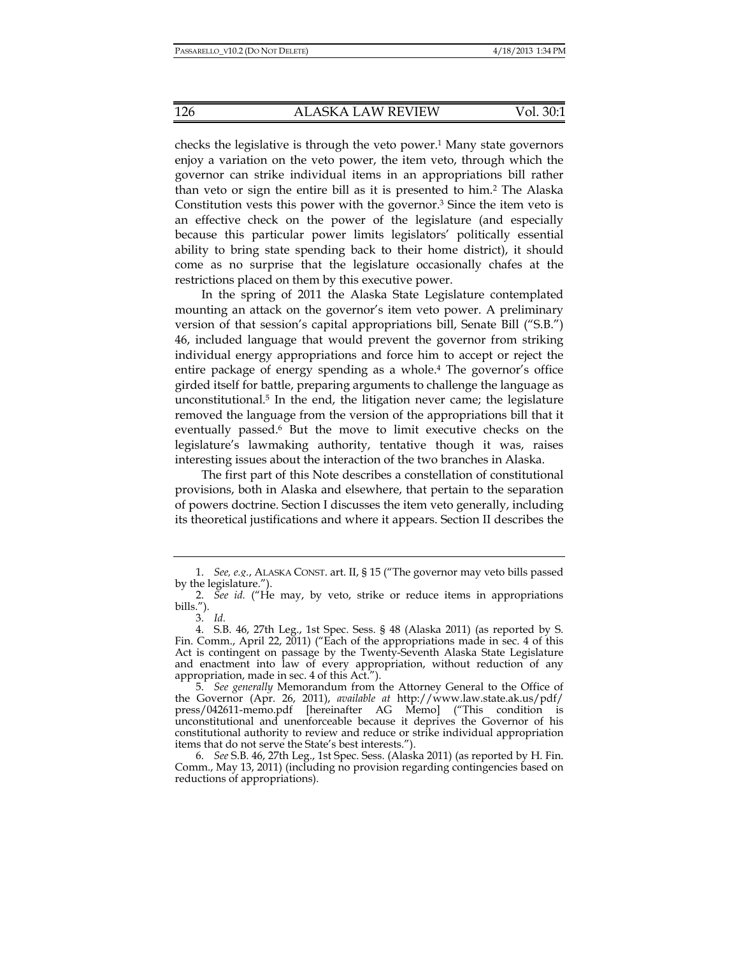checks the legislative is through the veto power.<sup>1</sup> Many state governors enjoy a variation on the veto power, the item veto, through which the governor can strike individual items in an appropriations bill rather than veto or sign the entire bill as it is presented to him.2 The Alaska Constitution vests this power with the governor.3 Since the item veto is an effective check on the power of the legislature (and especially because this particular power limits legislators' politically essential ability to bring state spending back to their home district), it should come as no surprise that the legislature occasionally chafes at the restrictions placed on them by this executive power.

In the spring of 2011 the Alaska State Legislature contemplated mounting an attack on the governor's item veto power. A preliminary version of that session's capital appropriations bill, Senate Bill ("S.B.") 46, included language that would prevent the governor from striking individual energy appropriations and force him to accept or reject the entire package of energy spending as a whole.4 The governor's office girded itself for battle, preparing arguments to challenge the language as unconstitutional.<sup>5</sup> In the end, the litigation never came; the legislature removed the language from the version of the appropriations bill that it eventually passed.6 But the move to limit executive checks on the legislature's lawmaking authority, tentative though it was, raises interesting issues about the interaction of the two branches in Alaska.

The first part of this Note describes a constellation of constitutional provisions, both in Alaska and elsewhere, that pertain to the separation of powers doctrine. Section I discusses the item veto generally, including its theoretical justifications and where it appears. Section II describes the

 <sup>1.</sup> *See, e.g.*, ALASKA CONST. art. II, § 15 ("The governor may veto bills passed by the legislature.").

 <sup>2.</sup> *See id.* ("He may, by veto, strike or reduce items in appropriations bills.").

 <sup>3.</sup> *Id.*

 <sup>4.</sup> S.B. 46, 27th Leg., 1st Spec. Sess. § 48 (Alaska 2011) (as reported by S. Fin. Comm., April 22, 2011) ("Each of the appropriations made in sec. 4 of this Act is contingent on passage by the Twenty-Seventh Alaska State Legislature and enactment into law of every appropriation, without reduction of any appropriation, made in sec. 4 of this Act.").

 <sup>5.</sup> *See generally* Memorandum from the Attorney General to the Office of the Governor (Apr. 26, 2011), *available at* http://www.law.state.ak.us/pdf/ press/042611-memo.pdf [hereinafter AG Memo] ("This condition is unconstitutional and unenforceable because it deprives the Governor of his constitutional authority to review and reduce or strike individual appropriation items that do not serve the State's best interests.").

 <sup>6.</sup> *See* S.B. 46, 27th Leg., 1st Spec. Sess. (Alaska 2011) (as reported by H. Fin. Comm., May 13, 2011) (including no provision regarding contingencies based on reductions of appropriations).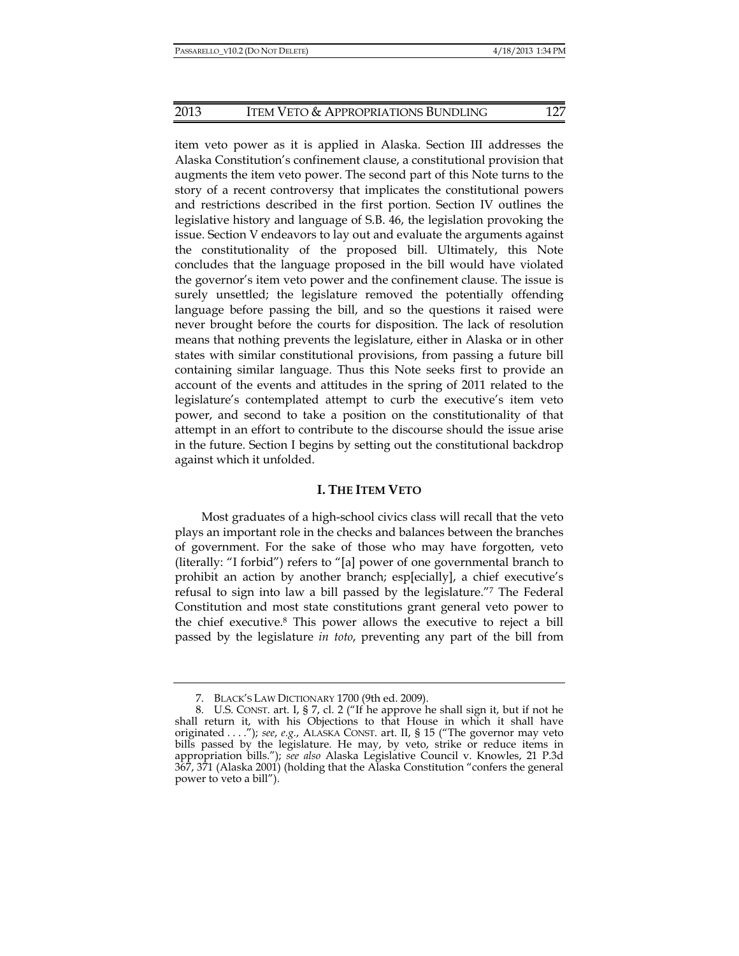item veto power as it is applied in Alaska. Section III addresses the Alaska Constitution's confinement clause, a constitutional provision that augments the item veto power. The second part of this Note turns to the story of a recent controversy that implicates the constitutional powers and restrictions described in the first portion. Section IV outlines the legislative history and language of S.B. 46, the legislation provoking the issue. Section V endeavors to lay out and evaluate the arguments against the constitutionality of the proposed bill. Ultimately, this Note concludes that the language proposed in the bill would have violated the governor's item veto power and the confinement clause. The issue is surely unsettled; the legislature removed the potentially offending language before passing the bill, and so the questions it raised were never brought before the courts for disposition. The lack of resolution means that nothing prevents the legislature, either in Alaska or in other states with similar constitutional provisions, from passing a future bill containing similar language. Thus this Note seeks first to provide an account of the events and attitudes in the spring of 2011 related to the legislature's contemplated attempt to curb the executive's item veto power, and second to take a position on the constitutionality of that attempt in an effort to contribute to the discourse should the issue arise in the future. Section I begins by setting out the constitutional backdrop against which it unfolded.

## **I. THE ITEM VETO**

Most graduates of a high-school civics class will recall that the veto plays an important role in the checks and balances between the branches of government. For the sake of those who may have forgotten, veto (literally: "I forbid") refers to "[a] power of one governmental branch to prohibit an action by another branch; esp[ecially], a chief executive's refusal to sign into law a bill passed by the legislature."7 The Federal Constitution and most state constitutions grant general veto power to the chief executive.8 This power allows the executive to reject a bill passed by the legislature *in toto*, preventing any part of the bill from

 <sup>7.</sup> BLACK'S LAW DICTIONARY 1700 (9th ed. 2009).

 <sup>8.</sup> U.S. CONST. art. I, § 7, cl. 2 ("If he approve he shall sign it, but if not he shall return it, with his Objections to that House in which it shall have originated . . . ."); *see*, *e.g.*, ALASKA CONST. art. II, § 15 ("The governor may veto bills passed by the legislature. He may, by veto, strike or reduce items in appropriation bills."); *see also* Alaska Legislative Council v. Knowles, 21 P.3d 367, 371 (Alaska 2001) (holding that the Alaska Constitution "confers the general power to veto a bill").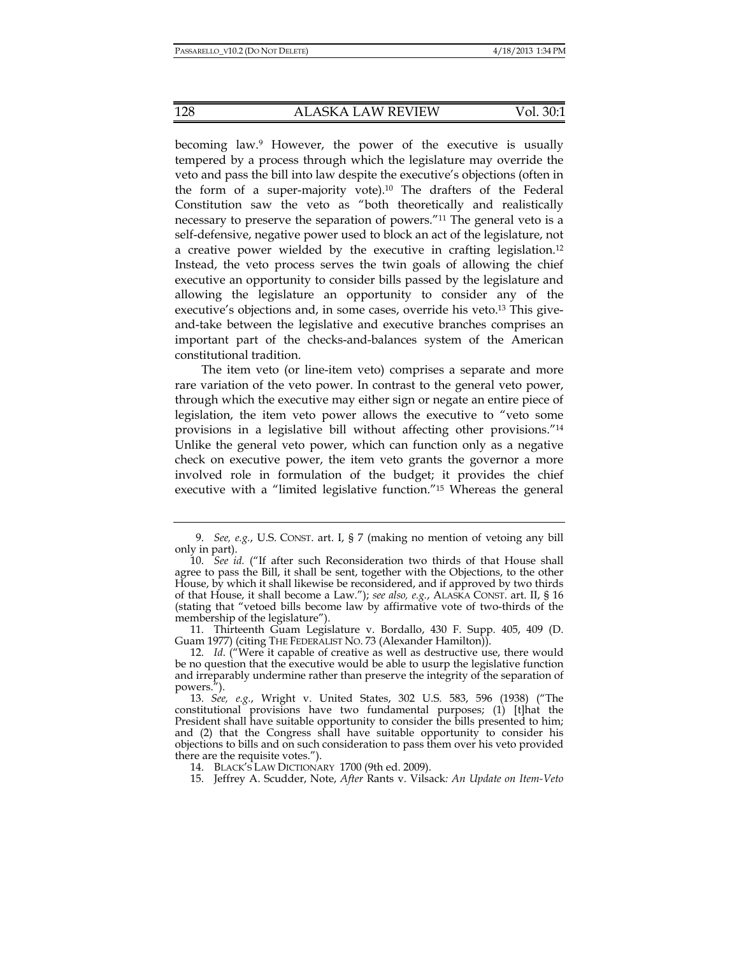becoming law.9 However, the power of the executive is usually tempered by a process through which the legislature may override the veto and pass the bill into law despite the executive's objections (often in the form of a super-majority vote).10 The drafters of the Federal Constitution saw the veto as "both theoretically and realistically necessary to preserve the separation of powers."11 The general veto is a self-defensive, negative power used to block an act of the legislature, not a creative power wielded by the executive in crafting legislation.12 Instead, the veto process serves the twin goals of allowing the chief executive an opportunity to consider bills passed by the legislature and allowing the legislature an opportunity to consider any of the executive's objections and, in some cases, override his veto.13 This giveand-take between the legislative and executive branches comprises an important part of the checks-and-balances system of the American constitutional tradition.

The item veto (or line-item veto) comprises a separate and more rare variation of the veto power. In contrast to the general veto power, through which the executive may either sign or negate an entire piece of legislation, the item veto power allows the executive to "veto some provisions in a legislative bill without affecting other provisions."14 Unlike the general veto power, which can function only as a negative check on executive power, the item veto grants the governor a more involved role in formulation of the budget; it provides the chief executive with a "limited legislative function."15 Whereas the general

 11. Thirteenth Guam Legislature v. Bordallo, 430 F. Supp. 405, 409 (D. Guam 1977) (citing THE FEDERALIST NO. 73 (Alexander Hamilton)).

 <sup>9.</sup> *See, e.g.*, U.S. CONST. art. I, § 7 (making no mention of vetoing any bill only in part).

 <sup>10.</sup> *See id.* ("If after such Reconsideration two thirds of that House shall agree to pass the Bill, it shall be sent, together with the Objections, to the other House, by which it shall likewise be reconsidered, and if approved by two thirds of that House, it shall become a Law."); *see also, e.g.*, ALASKA CONST. art. II, § 16 (stating that "vetoed bills become law by affirmative vote of two-thirds of the membership of the legislature").

 <sup>12.</sup> *Id*. ("Were it capable of creative as well as destructive use, there would be no question that the executive would be able to usurp the legislative function and irreparably undermine rather than preserve the integrity of the separation of powers.").

 <sup>13.</sup> *See, e.g.*, Wright v. United States, 302 U.S. 583, 596 (1938) ("The constitutional provisions have two fundamental purposes; (1) [t]hat the President shall have suitable opportunity to consider the bills presented to him; and (2) that the Congress shall have suitable opportunity to consider his objections to bills and on such consideration to pass them over his veto provided there are the requisite votes.").

 <sup>14.</sup> BLACK'S LAW DICTIONARY 1700 (9th ed. 2009).

 <sup>15.</sup> Jeffrey A. Scudder, Note, *After* Rants v. Vilsack*: An Update on Item-Veto*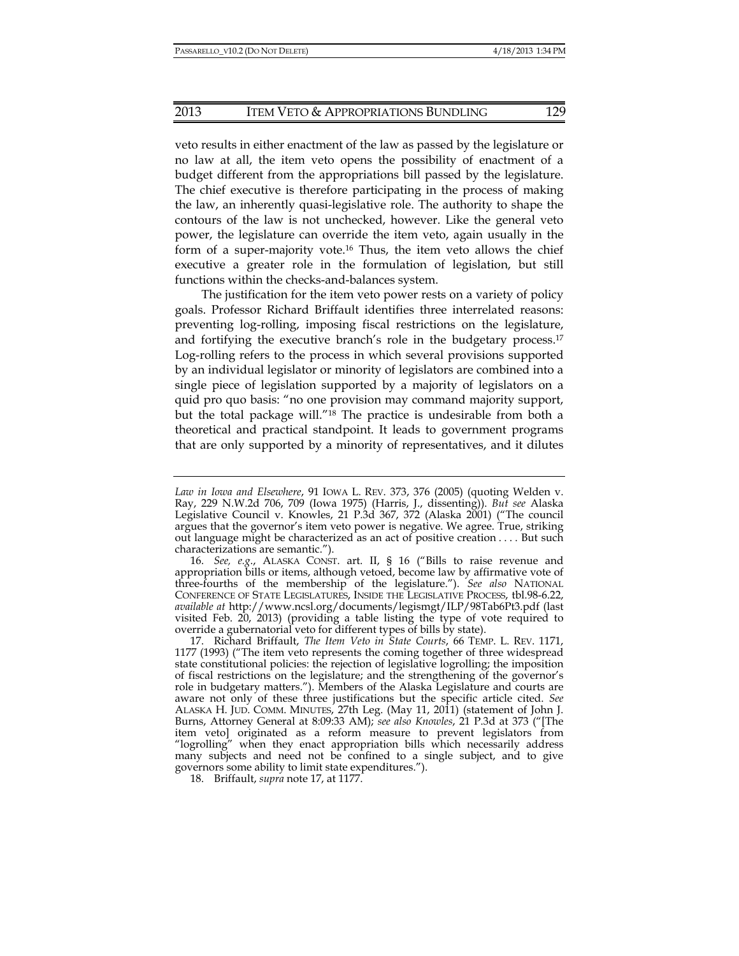## 2013 ITEM VETO & APPROPRIATIONS BUNDLING 129

veto results in either enactment of the law as passed by the legislature or no law at all, the item veto opens the possibility of enactment of a budget different from the appropriations bill passed by the legislature. The chief executive is therefore participating in the process of making the law, an inherently quasi-legislative role. The authority to shape the contours of the law is not unchecked, however. Like the general veto power, the legislature can override the item veto, again usually in the form of a super-majority vote.<sup>16</sup> Thus, the item veto allows the chief executive a greater role in the formulation of legislation, but still functions within the checks-and-balances system.

The justification for the item veto power rests on a variety of policy goals. Professor Richard Briffault identifies three interrelated reasons: preventing log-rolling, imposing fiscal restrictions on the legislature, and fortifying the executive branch's role in the budgetary process.<sup>17</sup> Log-rolling refers to the process in which several provisions supported by an individual legislator or minority of legislators are combined into a single piece of legislation supported by a majority of legislators on a quid pro quo basis: "no one provision may command majority support, but the total package will."18 The practice is undesirable from both a theoretical and practical standpoint. It leads to government programs that are only supported by a minority of representatives, and it dilutes

*Law in Iowa and Elsewhere*, 91 IOWA L. REV. 373, 376 (2005) (quoting Welden v. Ray, 229 N.W.2d 706, 709 (Iowa 1975) (Harris, J., dissenting)). *But see* Alaska Legislative Council v. Knowles, 21 P.3d 367, 372 (Alaska 2001) ("The council argues that the governor's item veto power is negative. We agree. True, striking out language might be characterized as an act of positive creation . . . . But such characterizations are semantic.").

 <sup>16.</sup> *See, e.g*., ALASKA CONST. art. II, § 16 ("Bills to raise revenue and appropriation bills or items, although vetoed, become law by affirmative vote of three-fourths of the membership of the legislature."). *See also* NATIONAL CONFERENCE OF STATE LEGISLATURES, INSIDE THE LEGISLATIVE PROCESS, tbl.98-6.22, *available at* http://www.ncsl.org/documents/legismgt/ILP/98Tab6Pt3.pdf (last visited Feb. 20, 2013) (providing a table listing the type of vote required to override a gubernatorial veto for different types of bills by state).

 <sup>17.</sup> Richard Briffault, *The Item Veto in State Courts*, 66 TEMP. L. REV. 1171, 1177 (1993) ("The item veto represents the coming together of three widespread state constitutional policies: the rejection of legislative logrolling; the imposition of fiscal restrictions on the legislature; and the strengthening of the governor's role in budgetary matters."). Members of the Alaska Legislature and courts are aware not only of these three justifications but the specific article cited. *See* ALASKA H. JUD. COMM. MINUTES, 27th Leg. (May 11, 2011) (statement of John J. Burns, Attorney General at 8:09:33 AM); *see also Knowles*, 21 P.3d at 373 ("[The item veto] originated as a reform measure to prevent legislators from "logrolling" when they enact appropriation bills which necessarily address many subjects and need not be confined to a single subject, and to give governors some ability to limit state expenditures.").

 <sup>18.</sup> Briffault, *supra* note 17, at 1177.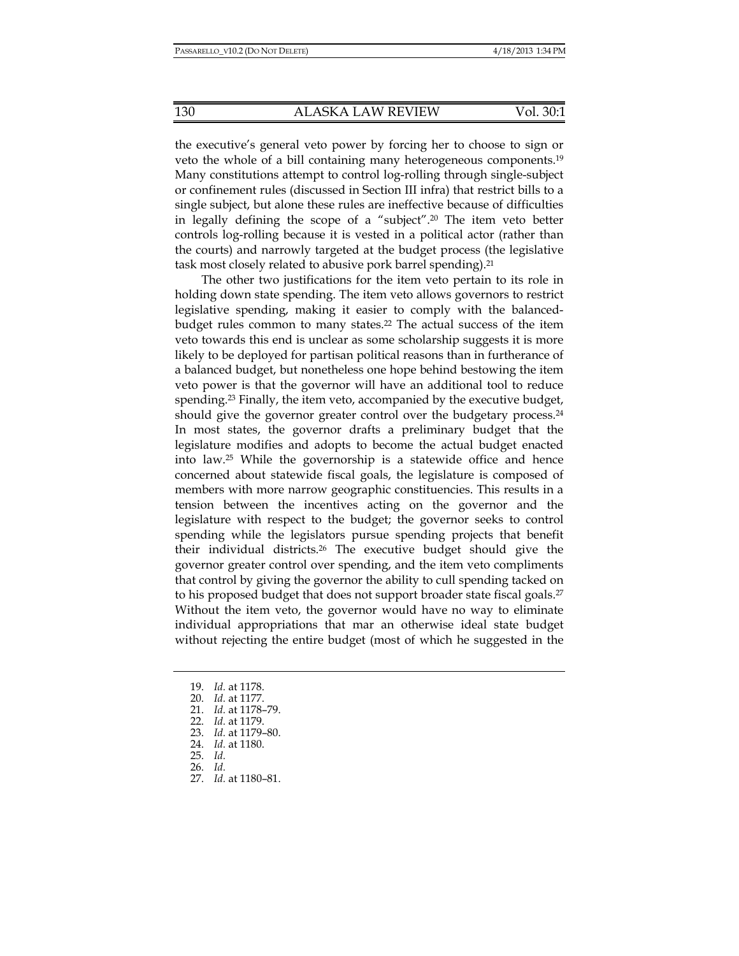the executive's general veto power by forcing her to choose to sign or veto the whole of a bill containing many heterogeneous components.19 Many constitutions attempt to control log-rolling through single-subject or confinement rules (discussed in Section III infra) that restrict bills to a single subject, but alone these rules are ineffective because of difficulties in legally defining the scope of a "subject".20 The item veto better controls log-rolling because it is vested in a political actor (rather than the courts) and narrowly targeted at the budget process (the legislative task most closely related to abusive pork barrel spending).<sup>21</sup>

The other two justifications for the item veto pertain to its role in holding down state spending. The item veto allows governors to restrict legislative spending, making it easier to comply with the balancedbudget rules common to many states.22 The actual success of the item veto towards this end is unclear as some scholarship suggests it is more likely to be deployed for partisan political reasons than in furtherance of a balanced budget, but nonetheless one hope behind bestowing the item veto power is that the governor will have an additional tool to reduce spending.23 Finally, the item veto, accompanied by the executive budget, should give the governor greater control over the budgetary process.<sup>24</sup> In most states, the governor drafts a preliminary budget that the legislature modifies and adopts to become the actual budget enacted into law.25 While the governorship is a statewide office and hence concerned about statewide fiscal goals, the legislature is composed of members with more narrow geographic constituencies. This results in a tension between the incentives acting on the governor and the legislature with respect to the budget; the governor seeks to control spending while the legislators pursue spending projects that benefit their individual districts.26 The executive budget should give the governor greater control over spending, and the item veto compliments that control by giving the governor the ability to cull spending tacked on to his proposed budget that does not support broader state fiscal goals.27 Without the item veto, the governor would have no way to eliminate individual appropriations that mar an otherwise ideal state budget without rejecting the entire budget (most of which he suggested in the

 <sup>19.</sup> *Id.* at 1178.

 <sup>20.</sup> *Id.* at 1177.

 <sup>21.</sup> *Id.* at 1178–79.

 <sup>22.</sup> *Id.* at 1179.

 <sup>23.</sup> *Id.* at 1179–80.

 <sup>24.</sup> *Id.* at 1180.

 <sup>25.</sup> *Id.*

 <sup>26.</sup> *Id.*

 <sup>27.</sup> *Id.* at 1180–81.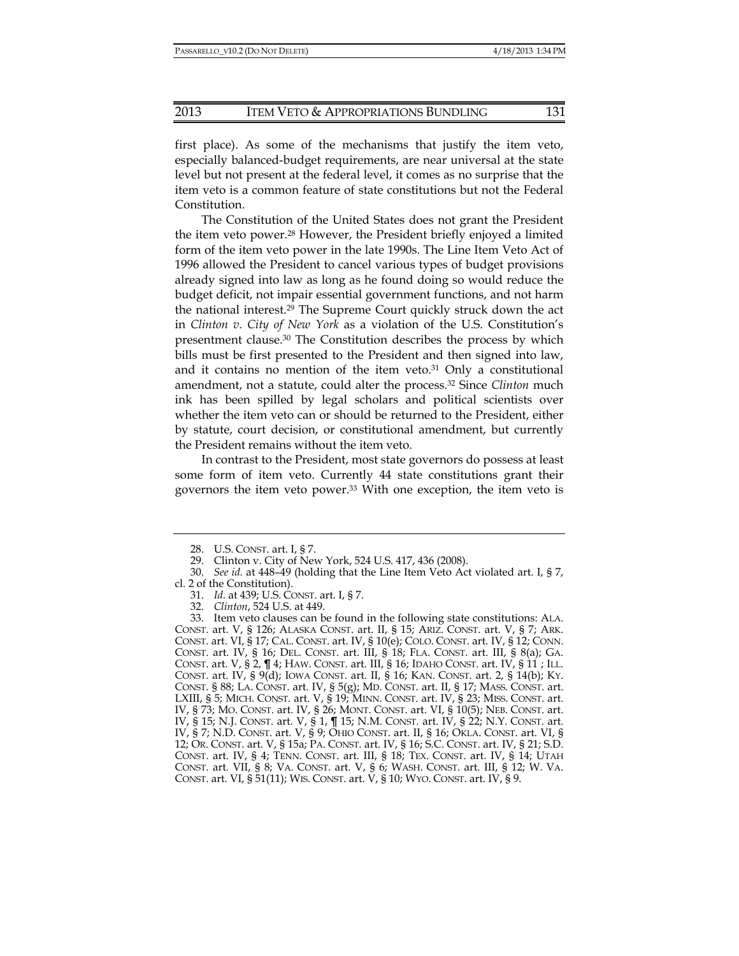first place). As some of the mechanisms that justify the item veto, especially balanced-budget requirements, are near universal at the state level but not present at the federal level, it comes as no surprise that the item veto is a common feature of state constitutions but not the Federal Constitution.

The Constitution of the United States does not grant the President the item veto power.28 However, the President briefly enjoyed a limited form of the item veto power in the late 1990s. The Line Item Veto Act of 1996 allowed the President to cancel various types of budget provisions already signed into law as long as he found doing so would reduce the budget deficit, not impair essential government functions, and not harm the national interest.29 The Supreme Court quickly struck down the act in *Clinton v. City of New York* as a violation of the U.S. Constitution's presentment clause.30 The Constitution describes the process by which bills must be first presented to the President and then signed into law, and it contains no mention of the item veto. $31$  Only a constitutional amendment, not a statute, could alter the process.32 Since *Clinton* much ink has been spilled by legal scholars and political scientists over whether the item veto can or should be returned to the President, either by statute, court decision, or constitutional amendment, but currently the President remains without the item veto.

In contrast to the President, most state governors do possess at least some form of item veto. Currently 44 state constitutions grant their governors the item veto power.33 With one exception, the item veto is

- 31. *Id.* at 439; U.S. CONST. art. I, § 7.
- 32. *Clinton*, 524 U.S. at 449.

 <sup>28.</sup> U.S. CONST. art. I, § 7.

 <sup>29.</sup> Clinton v. City of New York, 524 U.S. 417, 436 (2008).

 <sup>30.</sup> *See id.* at 448–49 (holding that the Line Item Veto Act violated art. I, § 7, cl. 2 of the Constitution).

 <sup>33.</sup> Item veto clauses can be found in the following state constitutions: ALA. CONST. art. V, § 126; ALASKA CONST. art. II, § 15; ARIZ. CONST. art. V, § 7; ARK. CONST. art. VI, § 17; CAL. CONST. art. IV, § 10(e); COLO. CONST. art. IV, § 12; CONN. CONST. art. IV, § 16; DEL. CONST. art. III, § 18; FLA. CONST. art. III, § 8(a); GA. CONST. art. V, § 2, ¶ 4; HAW. CONST. art. III, § 16; IDAHO CONST. art. IV, § 11 ; ILL. CONST. art. IV, § 9(d); IOWA CONST. art. II, § 16; KAN. CONST. art. 2, § 14(b); KY. CONST. § 88; LA. CONST. art. IV, § 5(g); MD. CONST. art. II, § 17; MASS. CONST. art. LXIII, § 5; MICH. CONST. art. V, § 19; MINN. CONST. art. IV, § 23; MISS. CONST. art. IV, § 73; MO. CONST. art. IV, § 26; MONT. CONST. art. VI, § 10(5); NEB. CONST. art. IV, § 15; N.J. CONST. art. V, § 1, ¶ 15; N.M. CONST. art. IV, § 22; N.Y. CONST. art. IV, § 7; N.D. CONST. art. V, § 9; OHIO CONST. art. II, § 16; OKLA. CONST. art. VI, § 12; OR. CONST. art. V, § 15a; PA. CONST. art. IV, § 16; S.C. CONST. art. IV, § 21; S.D. CONST. art. IV, § 4; TENN. CONST. art. III, § 18; TEX. CONST. art. IV, § 14; UTAH CONST. art. VII, § 8; VA. CONST. art. V, § 6; WASH. CONST. art. III, § 12; W. VA. CONST. art. VI, § 51(11); WIS. CONST. art. V, § 10; WYO. CONST. art. IV, § 9.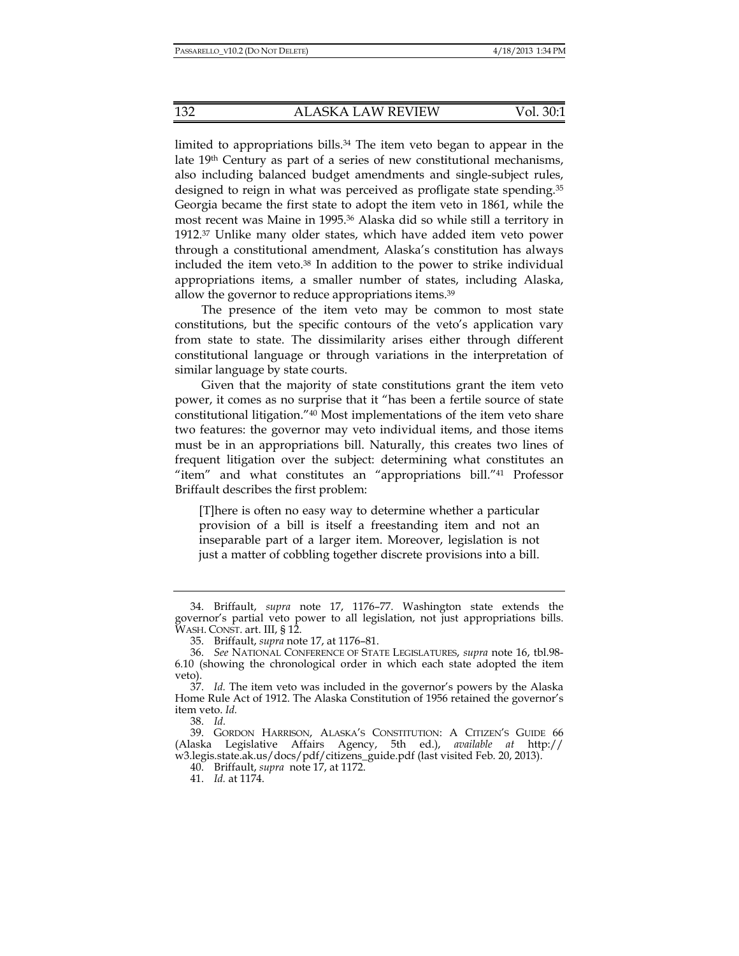limited to appropriations bills.34 The item veto began to appear in the late  $19<sup>th</sup>$  Century as part of a series of new constitutional mechanisms, also including balanced budget amendments and single-subject rules, designed to reign in what was perceived as profligate state spending.35 Georgia became the first state to adopt the item veto in 1861, while the most recent was Maine in 1995.36 Alaska did so while still a territory in 1912.37 Unlike many older states, which have added item veto power through a constitutional amendment, Alaska's constitution has always included the item veto.38 In addition to the power to strike individual appropriations items, a smaller number of states, including Alaska, allow the governor to reduce appropriations items.39

The presence of the item veto may be common to most state constitutions, but the specific contours of the veto's application vary from state to state. The dissimilarity arises either through different constitutional language or through variations in the interpretation of similar language by state courts.

Given that the majority of state constitutions grant the item veto power, it comes as no surprise that it "has been a fertile source of state constitutional litigation."40 Most implementations of the item veto share two features: the governor may veto individual items, and those items must be in an appropriations bill. Naturally, this creates two lines of frequent litigation over the subject: determining what constitutes an "item" and what constitutes an "appropriations bill."41 Professor Briffault describes the first problem:

[T]here is often no easy way to determine whether a particular provision of a bill is itself a freestanding item and not an inseparable part of a larger item. Moreover, legislation is not just a matter of cobbling together discrete provisions into a bill.

 <sup>34.</sup> Briffault, *supra* note 17, 1176–77. Washington state extends the governor's partial veto power to all legislation, not just appropriations bills. WASH. CONST. art. III, § 12.

 <sup>35.</sup> Briffault, *supra* note 17, at 1176–81.

 <sup>36.</sup> *See* NATIONAL CONFERENCE OF STATE LEGISLATURES, *supra* note 16, tbl.98- 6.10 (showing the chronological order in which each state adopted the item veto).

 <sup>37.</sup> *Id.* The item veto was included in the governor's powers by the Alaska Home Rule Act of 1912. The Alaska Constitution of 1956 retained the governor's item veto. *Id.*

 <sup>38.</sup> *Id.*

 <sup>39.</sup> GORDON HARRISON, ALASKA'S CONSTITUTION: A CITIZEN'S GUIDE 66 (Alaska Legislative Affairs Agency, 5th ed.), *available at* http:// w3.legis.state.ak.us/docs/pdf/citizens\_guide.pdf (last visited Feb. 20, 2013).

 <sup>40.</sup> Briffault, *supra* note 17, at 1172.

 <sup>41.</sup> *Id.* at 1174.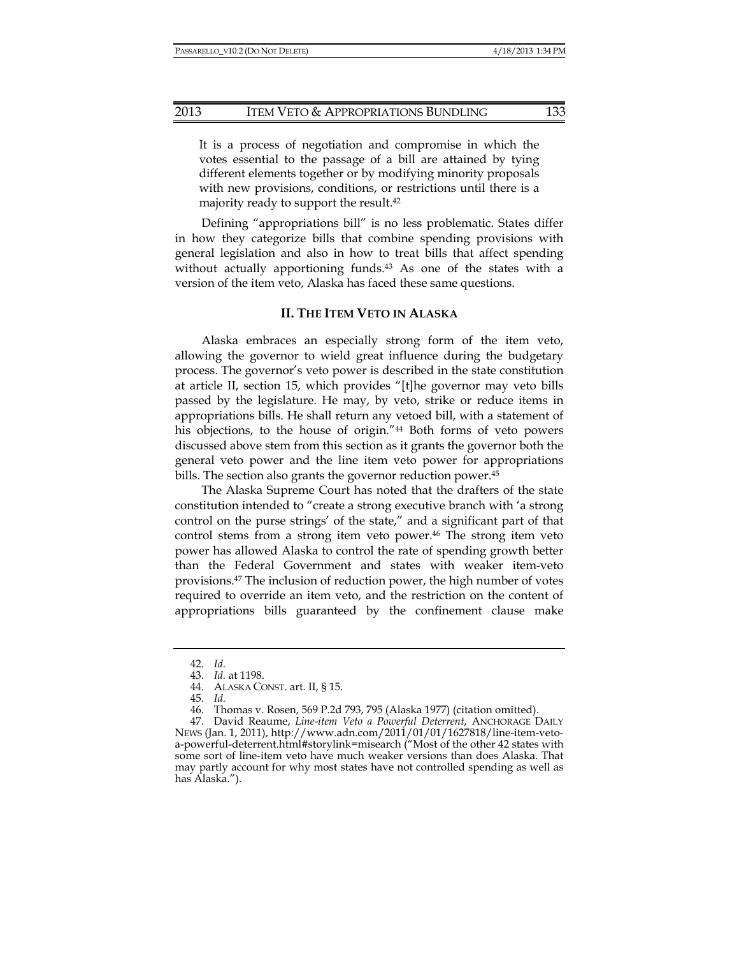It is a process of negotiation and compromise in which the votes essential to the passage of a bill are attained by tying different elements together or by modifying minority proposals with new provisions, conditions, or restrictions until there is a majority ready to support the result.<sup>42</sup>

Defining "appropriations bill" is no less problematic. States differ in how they categorize bills that combine spending provisions with general legislation and also in how to treat bills that affect spending without actually apportioning funds.<sup>43</sup> As one of the states with a version of the item veto, Alaska has faced these same questions.

#### **II. THE ITEM VETO IN ALASKA**

Alaska embraces an especially strong form of the item veto, allowing the governor to wield great influence during the budgetary process. The governor's veto power is described in the state constitution at article II, section 15, which provides "[t]he governor may veto bills passed by the legislature. He may, by veto, strike or reduce items in appropriations bills. He shall return any vetoed bill, with a statement of his objections, to the house of origin."<sup>44</sup> Both forms of veto powers discussed above stem from this section as it grants the governor both the general veto power and the line item veto power for appropriations bills. The section also grants the governor reduction power.45

The Alaska Supreme Court has noted that the drafters of the state constitution intended to "create a strong executive branch with 'a strong control on the purse strings' of the state," and a significant part of that control stems from a strong item veto power.46 The strong item veto power has allowed Alaska to control the rate of spending growth better than the Federal Government and states with weaker item-veto provisions.47 The inclusion of reduction power, the high number of votes required to override an item veto, and the restriction on the content of appropriations bills guaranteed by the confinement clause make

 <sup>42.</sup> *Id.*

 <sup>43.</sup> *Id.* at 1198.

 <sup>44.</sup> ALASKA CONST. art. II, § 15.

 <sup>45.</sup> *Id.*

 <sup>46.</sup> Thomas v. Rosen, 569 P.2d 793, 795 (Alaska 1977) (citation omitted).

 <sup>47.</sup> David Reaume, *Line-item Veto a Powerful Deterrent*, ANCHORAGE DAILY NEWS (Jan. 1, 2011), http://www.adn.com/2011/01/01/1627818/line-item-vetoa-powerful-deterrent.html#storylink=misearch ("Most of the other 42 states with some sort of line-item veto have much weaker versions than does Alaska. That may partly account for why most states have not controlled spending as well as has Alaska.").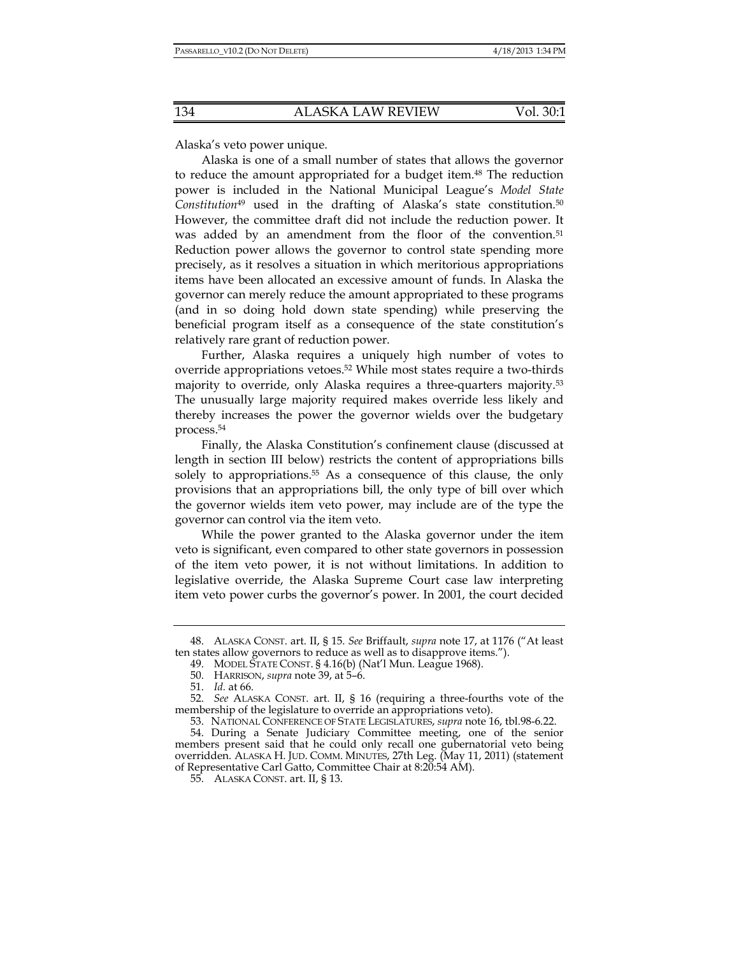Alaska's veto power unique.

Alaska is one of a small number of states that allows the governor to reduce the amount appropriated for a budget item.48 The reduction power is included in the National Municipal League's *Model State Constitution*49 used in the drafting of Alaska's state constitution.50 However, the committee draft did not include the reduction power. It was added by an amendment from the floor of the convention.<sup>51</sup> Reduction power allows the governor to control state spending more precisely, as it resolves a situation in which meritorious appropriations items have been allocated an excessive amount of funds. In Alaska the governor can merely reduce the amount appropriated to these programs (and in so doing hold down state spending) while preserving the beneficial program itself as a consequence of the state constitution's relatively rare grant of reduction power.

Further, Alaska requires a uniquely high number of votes to override appropriations vetoes.52 While most states require a two-thirds majority to override, only Alaska requires a three-quarters majority.53 The unusually large majority required makes override less likely and thereby increases the power the governor wields over the budgetary process.54

Finally, the Alaska Constitution's confinement clause (discussed at length in section III below) restricts the content of appropriations bills solely to appropriations.<sup>55</sup> As a consequence of this clause, the only provisions that an appropriations bill, the only type of bill over which the governor wields item veto power, may include are of the type the governor can control via the item veto.

While the power granted to the Alaska governor under the item veto is significant, even compared to other state governors in possession of the item veto power, it is not without limitations. In addition to legislative override, the Alaska Supreme Court case law interpreting item veto power curbs the governor's power. In 2001, the court decided

 <sup>48.</sup> ALASKA CONST. art. II, § 15. *See* Briffault, *supra* note 17, at 1176 ("At least ten states allow governors to reduce as well as to disapprove items.").

 <sup>49.</sup> MODEL STATE CONST. § 4.16(b) (Nat'l Mun. League 1968).

 <sup>50.</sup> HARRISON, *supra* note 39, at 5–6.

 <sup>51.</sup> *Id.* at 66.

 <sup>52.</sup> *See* ALASKA CONST. art. II, § 16 (requiring a three-fourths vote of the membership of the legislature to override an appropriations veto).

 <sup>53.</sup> NATIONAL CONFERENCE OF STATE LEGISLATURES, *supra* note 16, tbl.98-6.22.

 <sup>54.</sup> During a Senate Judiciary Committee meeting, one of the senior members present said that he could only recall one gubernatorial veto being overridden. ALASKA H. JUD. COMM. MINUTES, 27th Leg. (May 11, 2011) (statement of Representative Carl Gatto, Committee Chair at 8:20:54 AM).

 <sup>55.</sup> ALASKA CONST. art. II, § 13.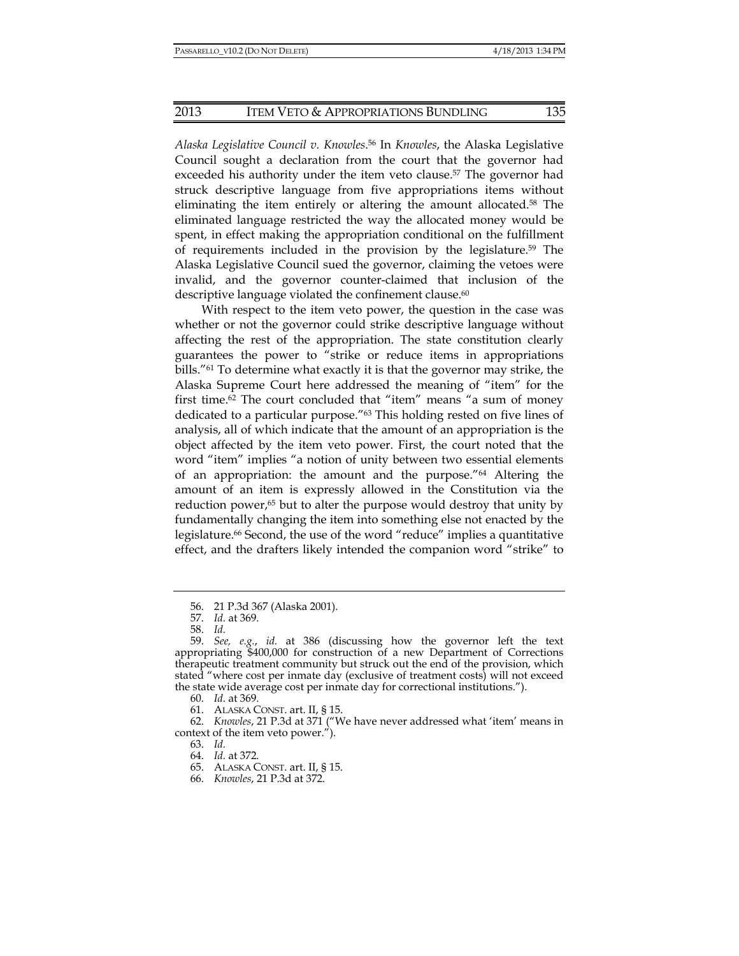*Alaska Legislative Council v. Knowles*. 56 In *Knowles*, the Alaska Legislative Council sought a declaration from the court that the governor had exceeded his authority under the item veto clause.<sup>57</sup> The governor had struck descriptive language from five appropriations items without eliminating the item entirely or altering the amount allocated.58 The eliminated language restricted the way the allocated money would be spent, in effect making the appropriation conditional on the fulfillment of requirements included in the provision by the legislature.59 The Alaska Legislative Council sued the governor, claiming the vetoes were invalid, and the governor counter-claimed that inclusion of the descriptive language violated the confinement clause. $60$ 

With respect to the item veto power, the question in the case was whether or not the governor could strike descriptive language without affecting the rest of the appropriation. The state constitution clearly guarantees the power to "strike or reduce items in appropriations bills."61 To determine what exactly it is that the governor may strike, the Alaska Supreme Court here addressed the meaning of "item" for the first time.62 The court concluded that "item" means "a sum of money dedicated to a particular purpose."63 This holding rested on five lines of analysis, all of which indicate that the amount of an appropriation is the object affected by the item veto power. First, the court noted that the word "item" implies "a notion of unity between two essential elements of an appropriation: the amount and the purpose."64 Altering the amount of an item is expressly allowed in the Constitution via the reduction power,<sup>65</sup> but to alter the purpose would destroy that unity by fundamentally changing the item into something else not enacted by the legislature.<sup>66</sup> Second, the use of the word "reduce" implies a quantitative effect, and the drafters likely intended the companion word "strike" to

63. *Id.*

 <sup>56. 21</sup> P.3d 367 (Alaska 2001).

 <sup>57.</sup> *Id.* at 369.

 <sup>58.</sup> *Id.*

 <sup>59.</sup> *See, e.g.*, *id.* at 386 (discussing how the governor left the text appropriating \$400,000 for construction of a new Department of Corrections therapeutic treatment community but struck out the end of the provision, which stated "where cost per inmate day (exclusive of treatment costs) will not exceed the state wide average cost per inmate day for correctional institutions.").

 <sup>60.</sup> *Id*. at 369.

 <sup>61.</sup> ALASKA CONST. art. II, § 15.

 <sup>62.</sup> *Knowles*, 21 P.3d at 371 ("We have never addressed what 'item' means in context of the item veto power.").

 <sup>64.</sup> *Id.* at 372.

 <sup>65.</sup> ALASKA CONST. art. II, § 15.

 <sup>66.</sup> *Knowles*, 21 P.3d at 372.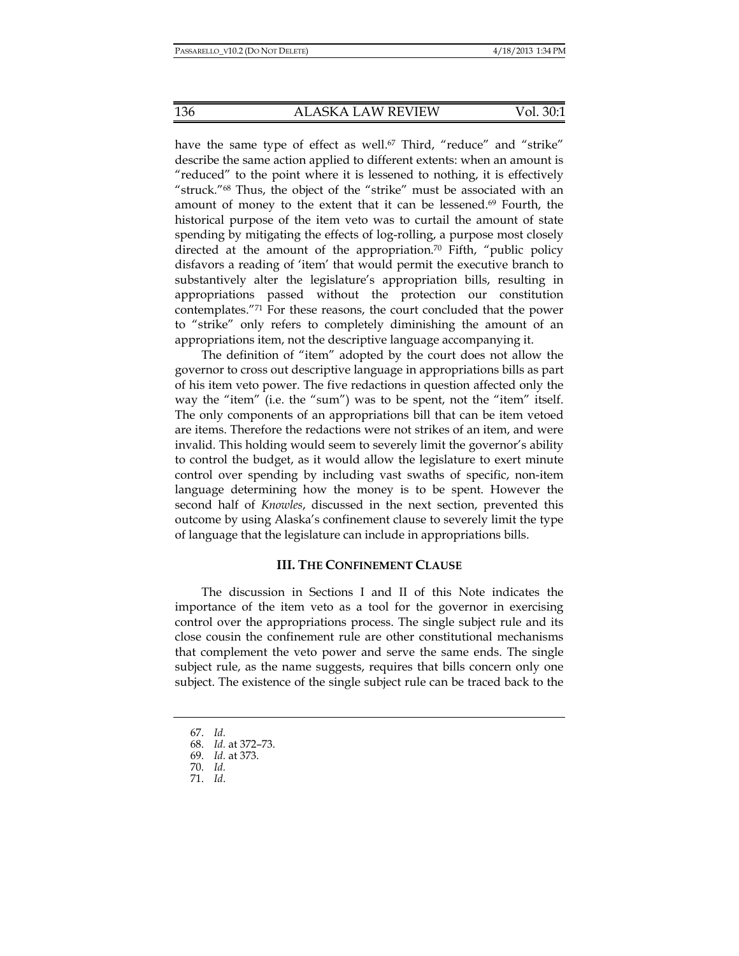have the same type of effect as well.<sup>67</sup> Third, "reduce" and "strike" describe the same action applied to different extents: when an amount is "reduced" to the point where it is lessened to nothing, it is effectively "struck."68 Thus, the object of the "strike" must be associated with an amount of money to the extent that it can be lessened.<sup>69</sup> Fourth, the historical purpose of the item veto was to curtail the amount of state spending by mitigating the effects of log-rolling, a purpose most closely directed at the amount of the appropriation.<sup>70</sup> Fifth, "public policy" disfavors a reading of 'item' that would permit the executive branch to substantively alter the legislature's appropriation bills, resulting in appropriations passed without the protection our constitution contemplates."71 For these reasons, the court concluded that the power to "strike" only refers to completely diminishing the amount of an appropriations item, not the descriptive language accompanying it.

The definition of "item" adopted by the court does not allow the governor to cross out descriptive language in appropriations bills as part of his item veto power. The five redactions in question affected only the way the "item" (i.e. the "sum") was to be spent, not the "item" itself. The only components of an appropriations bill that can be item vetoed are items. Therefore the redactions were not strikes of an item, and were invalid. This holding would seem to severely limit the governor's ability to control the budget, as it would allow the legislature to exert minute control over spending by including vast swaths of specific, non-item language determining how the money is to be spent. However the second half of *Knowles*, discussed in the next section, prevented this outcome by using Alaska's confinement clause to severely limit the type of language that the legislature can include in appropriations bills.

## **III. THE CONFINEMENT CLAUSE**

The discussion in Sections I and II of this Note indicates the importance of the item veto as a tool for the governor in exercising control over the appropriations process. The single subject rule and its close cousin the confinement rule are other constitutional mechanisms that complement the veto power and serve the same ends. The single subject rule, as the name suggests, requires that bills concern only one subject. The existence of the single subject rule can be traced back to the

 <sup>67.</sup> *Id.*

 <sup>68.</sup> *Id.* at 372–73.

 <sup>69.</sup> *Id.* at 373.

 <sup>70.</sup> *Id.*

 <sup>71.</sup> *Id*.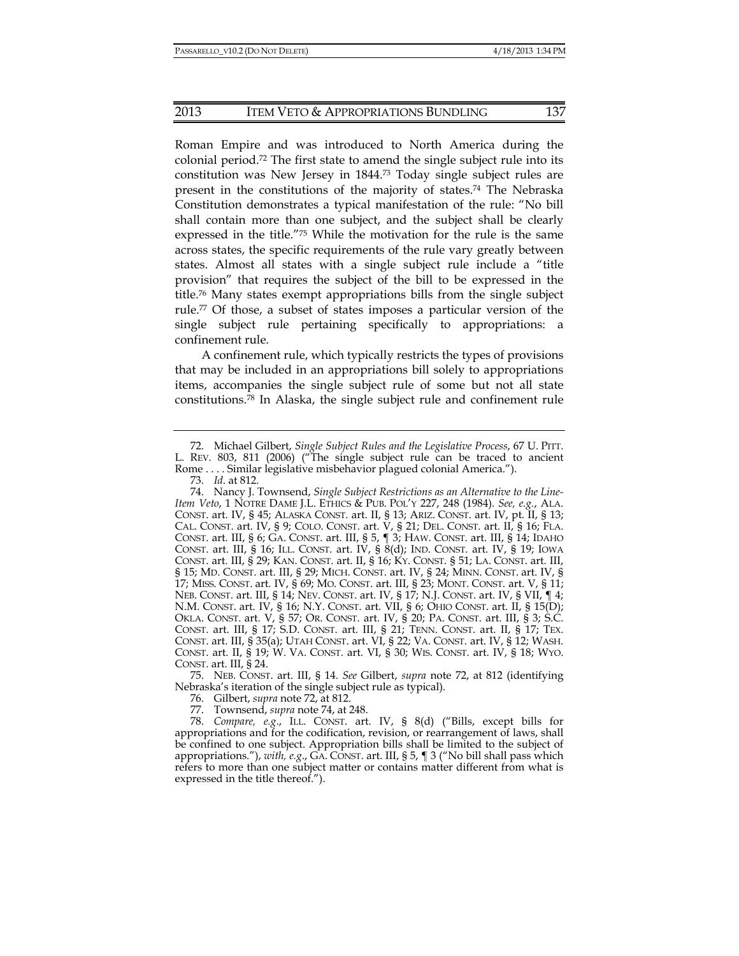## 2013 ITEM VETO & APPROPRIATIONS BUNDLING 137

Roman Empire and was introduced to North America during the colonial period.72 The first state to amend the single subject rule into its constitution was New Jersey in 1844.73 Today single subject rules are present in the constitutions of the majority of states.74 The Nebraska Constitution demonstrates a typical manifestation of the rule: "No bill shall contain more than one subject, and the subject shall be clearly expressed in the title."75 While the motivation for the rule is the same across states, the specific requirements of the rule vary greatly between states. Almost all states with a single subject rule include a "title provision" that requires the subject of the bill to be expressed in the title.76 Many states exempt appropriations bills from the single subject rule.77 Of those, a subset of states imposes a particular version of the single subject rule pertaining specifically to appropriations: a confinement rule.

A confinement rule, which typically restricts the types of provisions that may be included in an appropriations bill solely to appropriations items, accompanies the single subject rule of some but not all state constitutions.78 In Alaska, the single subject rule and confinement rule

 75. NEB. CONST. art. III, § 14. *See* Gilbert, *supra* note 72, at 812 (identifying Nebraska's iteration of the single subject rule as typical).

76. Gilbert, *supra* note 72, at 812.

77. Townsend, *supra* note 74, at 248.

 78. *Compare, e.g*., ILL. CONST. art. IV, § 8(d) ("Bills, except bills for appropriations and for the codification, revision, or rearrangement of laws, shall be confined to one subject. Appropriation bills shall be limited to the subject of appropriations."), *with, e.g*., GA. CONST. art. III, § 5, ¶ 3 ("No bill shall pass which refers to more than one subject matter or contains matter different from what is expressed in the title thereof.").

 <sup>72.</sup> Michael Gilbert, *Single Subject Rules and the Legislative Process*, 67 U. PITT. L. REV. 803, 811 (2006) ("The single subject rule can be traced to ancient Rome . . . . Similar legislative misbehavior plagued colonial America.").

 <sup>73.</sup> *Id*. at 812.

 <sup>74.</sup> Nancy J. Townsend, *Single Subject Restrictions as an Alternative to the Line-Item Veto*, 1 NOTRE DAME J.L. ETHICS & PUB. POL'Y 227, 248 (1984). *See, e.g.*, ALA. CONST. art. IV, § 45; ALASKA CONST. art. II, § 13; ARIZ. CONST. art. IV, pt. II, § 13; CAL. CONST. art. IV, § 9; COLO. CONST. art. V, § 21; DEL. CONST. art. II, § 16; FLA. CONST. art. III, § 6; GA. CONST. art. III, § 5, ¶ 3; HAW. CONST. art. III, § 14; IDAHO CONST. art. III, § 16; ILL. CONST. art. IV, § 8(d); IND. CONST. art. IV, § 19; IOWA CONST. art. III, § 29; KAN. CONST. art. II, § 16; KY. CONST. § 51; LA. CONST. art. III, § 15; MD. CONST. art. III, § 29; MICH. CONST. art. IV, § 24; MINN. CONST. art. IV, § 17; MISS. CONST. art. IV, § 69; MO. CONST. art. III, § 23; MONT. CONST. art. V, § 11; NEB. CONST. art. III, § 14; NEV. CONST. art. IV, § 17; N.J. CONST. art. IV, § VII, ¶ 4; N.M. CONST. art. IV, § 16; N.Y. CONST. art. VII, § 6; OHIO CONST. art. II, § 15(D); OKLA. CONST. art. V, § 57; OR. CONST. art. IV, § 20; PA. CONST. art. III, § 3; S.C. CONST. art. III, § 17; S.D. CONST. art. III, § 21; TENN. CONST. art. II, § 17; TEX. CONST. art. III, § 35(a); UTAH CONST. art. VI, § 22; VA. CONST. art. IV, § 12; WASH. CONST. art. II, § 19; W. VA. CONST. art. VI, § 30; WIS. CONST. art. IV, § 18; WYO. CONST. art. III, § 24.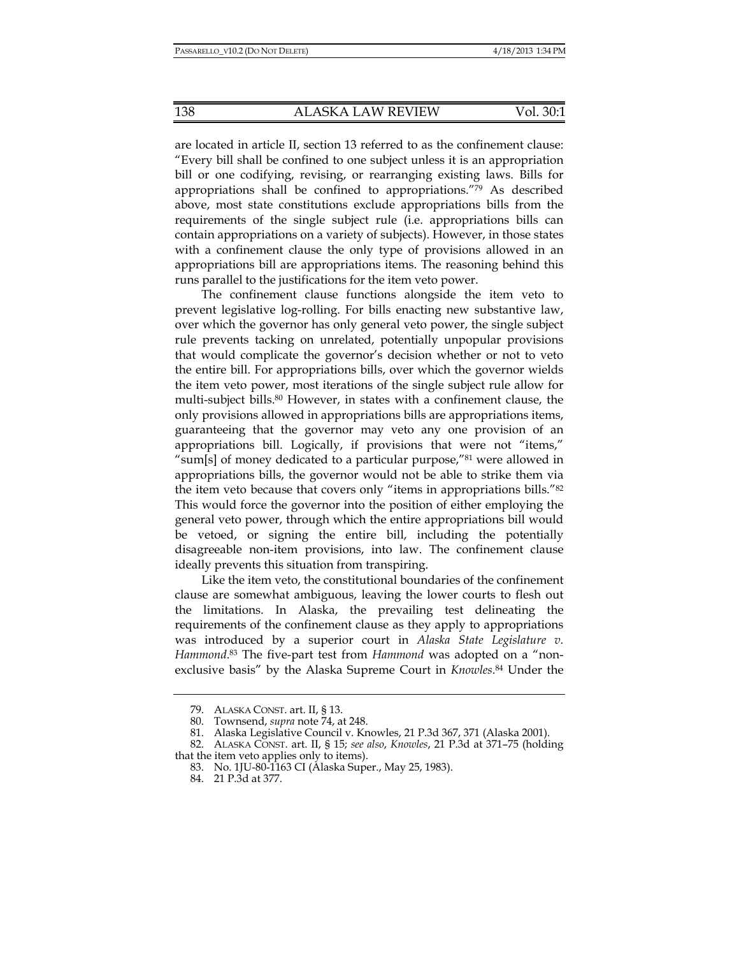are located in article II, section 13 referred to as the confinement clause: "Every bill shall be confined to one subject unless it is an appropriation bill or one codifying, revising, or rearranging existing laws. Bills for appropriations shall be confined to appropriations."79 As described above, most state constitutions exclude appropriations bills from the requirements of the single subject rule (i.e. appropriations bills can contain appropriations on a variety of subjects). However, in those states with a confinement clause the only type of provisions allowed in an appropriations bill are appropriations items. The reasoning behind this runs parallel to the justifications for the item veto power.

The confinement clause functions alongside the item veto to prevent legislative log-rolling. For bills enacting new substantive law, over which the governor has only general veto power, the single subject rule prevents tacking on unrelated, potentially unpopular provisions that would complicate the governor's decision whether or not to veto the entire bill. For appropriations bills, over which the governor wields the item veto power, most iterations of the single subject rule allow for multi-subject bills.<sup>80</sup> However, in states with a confinement clause, the only provisions allowed in appropriations bills are appropriations items, guaranteeing that the governor may veto any one provision of an appropriations bill. Logically, if provisions that were not "items," "sum[s] of money dedicated to a particular purpose,"81 were allowed in appropriations bills, the governor would not be able to strike them via the item veto because that covers only "items in appropriations bills."82 This would force the governor into the position of either employing the general veto power, through which the entire appropriations bill would be vetoed, or signing the entire bill, including the potentially disagreeable non-item provisions, into law. The confinement clause ideally prevents this situation from transpiring.

Like the item veto, the constitutional boundaries of the confinement clause are somewhat ambiguous, leaving the lower courts to flesh out the limitations. In Alaska, the prevailing test delineating the requirements of the confinement clause as they apply to appropriations was introduced by a superior court in *Alaska State Legislature v. Hammond*. 83 The five-part test from *Hammond* was adopted on a "nonexclusive basis" by the Alaska Supreme Court in *Knowles*. 84 Under the

 <sup>79.</sup> ALASKA CONST. art. II, § 13.

 <sup>80.</sup> Townsend, *supra* note 74, at 248.

 <sup>81.</sup> Alaska Legislative Council v. Knowles, 21 P.3d 367, 371 (Alaska 2001).

 <sup>82.</sup> ALASKA CONST. art. II, § 15; *see also*, *Knowles*, 21 P.3d at 371–75 (holding that the item veto applies only to items).

 <sup>83.</sup> No. 1JU-80-1163 CI (Alaska Super., May 25, 1983).

 <sup>84. 21</sup> P.3d at 377.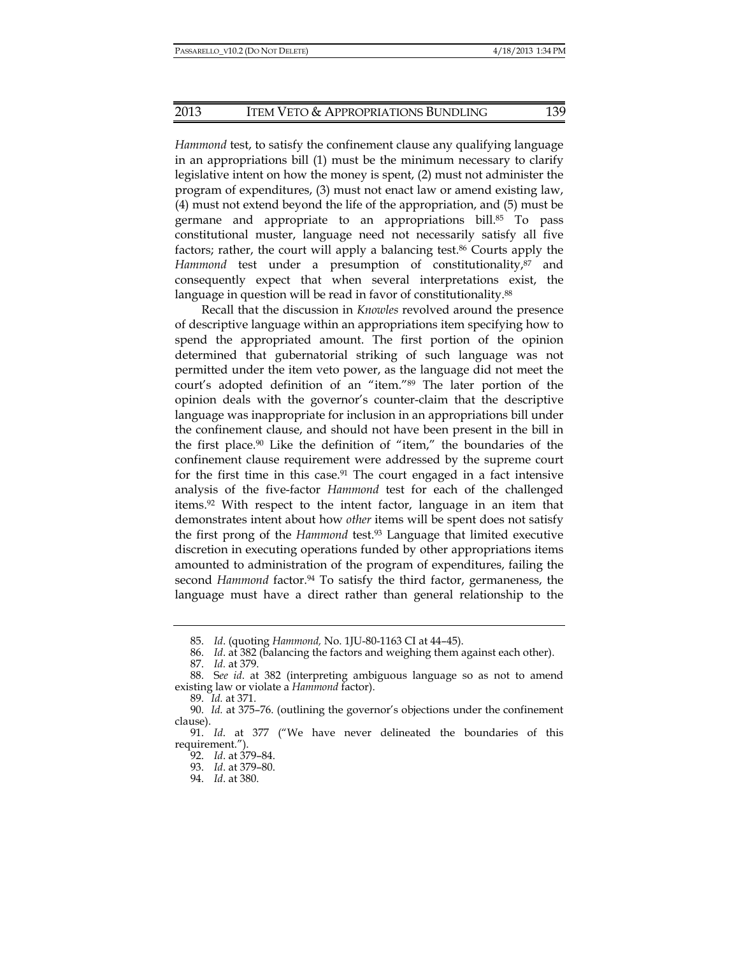*Hammond* test, to satisfy the confinement clause any qualifying language in an appropriations bill (1) must be the minimum necessary to clarify legislative intent on how the money is spent, (2) must not administer the program of expenditures, (3) must not enact law or amend existing law, (4) must not extend beyond the life of the appropriation, and (5) must be germane and appropriate to an appropriations bill.85 To pass constitutional muster, language need not necessarily satisfy all five factors; rather, the court will apply a balancing test.86 Courts apply the Hammond test under a presumption of constitutionality,<sup>87</sup> and consequently expect that when several interpretations exist, the language in question will be read in favor of constitutionality.<sup>88</sup>

Recall that the discussion in *Knowles* revolved around the presence of descriptive language within an appropriations item specifying how to spend the appropriated amount. The first portion of the opinion determined that gubernatorial striking of such language was not permitted under the item veto power, as the language did not meet the court's adopted definition of an "item."89 The later portion of the opinion deals with the governor's counter-claim that the descriptive language was inappropriate for inclusion in an appropriations bill under the confinement clause, and should not have been present in the bill in the first place.90 Like the definition of "item," the boundaries of the confinement clause requirement were addressed by the supreme court for the first time in this case.<sup>91</sup> The court engaged in a fact intensive analysis of the five-factor *Hammond* test for each of the challenged items.92 With respect to the intent factor, language in an item that demonstrates intent about how *other* items will be spent does not satisfy the first prong of the *Hammond* test.93 Language that limited executive discretion in executing operations funded by other appropriations items amounted to administration of the program of expenditures, failing the second *Hammond* factor.<sup>94</sup> To satisfy the third factor, germaneness, the language must have a direct rather than general relationship to the

87. *Id.* at 379.

 <sup>85.</sup> *Id*. (quoting *Hammond,* No. 1JU-80-1163 CI at 44–45).

 <sup>86.</sup> *Id*. at 382 (balancing the factors and weighing them against each other).

 <sup>88.</sup> S*ee id*. at 382 (interpreting ambiguous language so as not to amend existing law or violate a *Hammond* factor).

 <sup>89.</sup> *Id.* at 371.

 <sup>90.</sup> *Id.* at 375–76. (outlining the governor's objections under the confinement clause).

 <sup>91.</sup> *Id*. at 377 ("We have never delineated the boundaries of this requirement.").

 <sup>92.</sup> *Id*. at 379–84.

 <sup>93.</sup> *Id*. at 379–80.

 <sup>94.</sup> *Id*. at 380.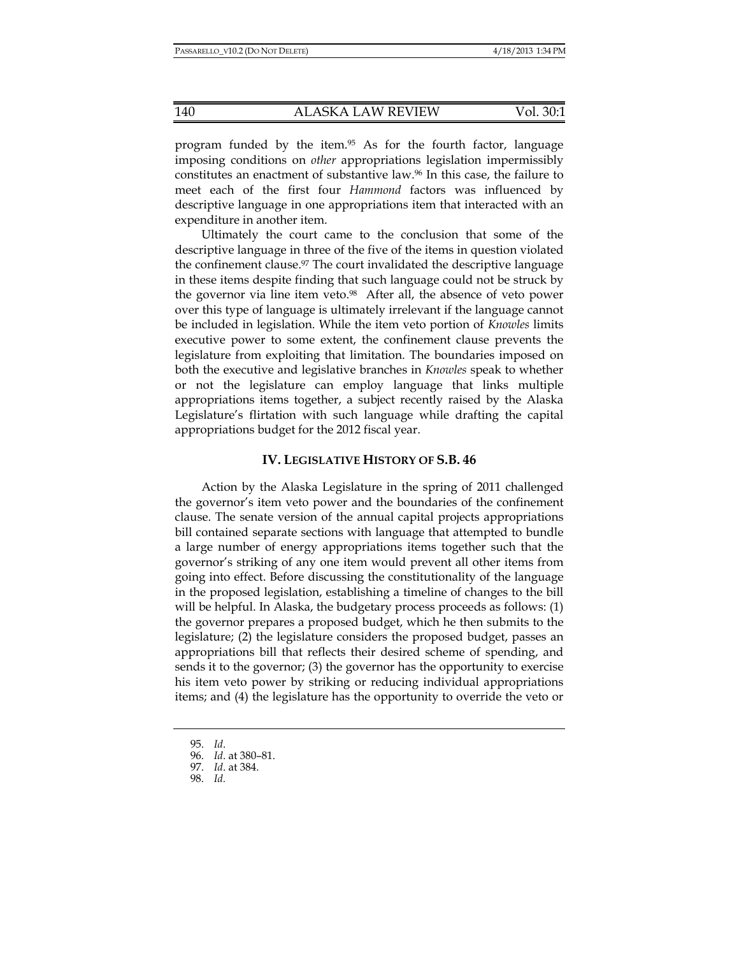program funded by the item.95 As for the fourth factor, language imposing conditions on *other* appropriations legislation impermissibly constitutes an enactment of substantive law.96 In this case, the failure to meet each of the first four *Hammond* factors was influenced by descriptive language in one appropriations item that interacted with an expenditure in another item.

Ultimately the court came to the conclusion that some of the descriptive language in three of the five of the items in question violated the confinement clause.<sup>97</sup> The court invalidated the descriptive language in these items despite finding that such language could not be struck by the governor via line item veto.98 After all, the absence of veto power over this type of language is ultimately irrelevant if the language cannot be included in legislation. While the item veto portion of *Knowles* limits executive power to some extent, the confinement clause prevents the legislature from exploiting that limitation. The boundaries imposed on both the executive and legislative branches in *Knowles* speak to whether or not the legislature can employ language that links multiple appropriations items together, a subject recently raised by the Alaska Legislature's flirtation with such language while drafting the capital appropriations budget for the 2012 fiscal year.

#### **IV. LEGISLATIVE HISTORY OF S.B. 46**

Action by the Alaska Legislature in the spring of 2011 challenged the governor's item veto power and the boundaries of the confinement clause. The senate version of the annual capital projects appropriations bill contained separate sections with language that attempted to bundle a large number of energy appropriations items together such that the governor's striking of any one item would prevent all other items from going into effect. Before discussing the constitutionality of the language in the proposed legislation, establishing a timeline of changes to the bill will be helpful. In Alaska, the budgetary process proceeds as follows: (1) the governor prepares a proposed budget, which he then submits to the legislature; (2) the legislature considers the proposed budget, passes an appropriations bill that reflects their desired scheme of spending, and sends it to the governor; (3) the governor has the opportunity to exercise his item veto power by striking or reducing individual appropriations items; and (4) the legislature has the opportunity to override the veto or

 <sup>95.</sup> *Id*.

 <sup>96.</sup> *Id*. at 380–81.

 <sup>97.</sup> *Id*. at 384.

 <sup>98.</sup> *Id.*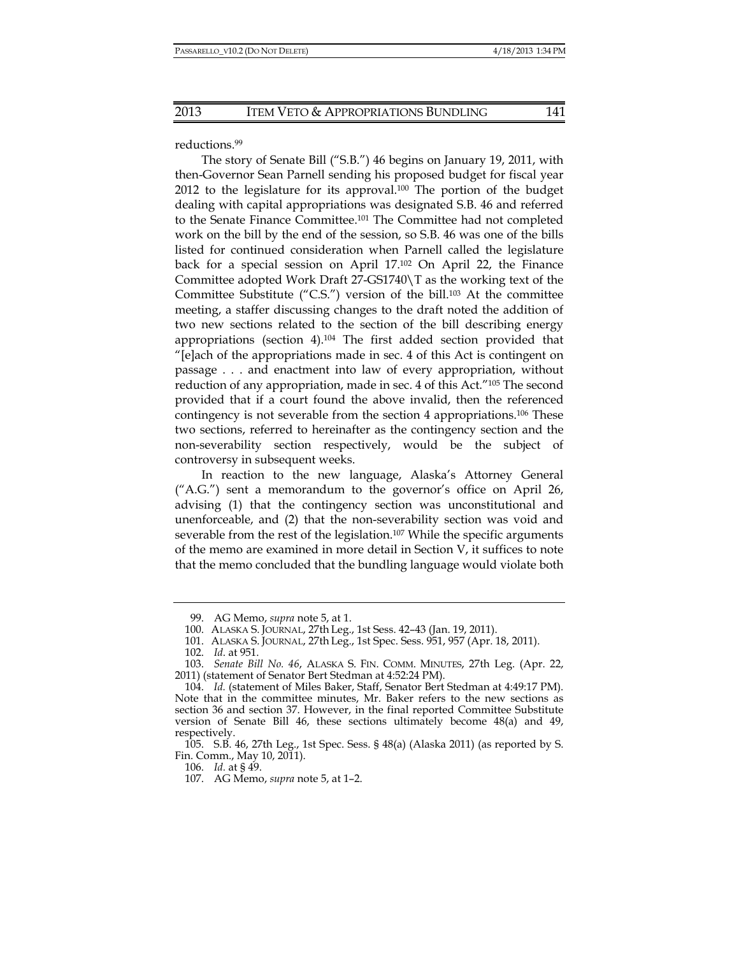reductions.99

The story of Senate Bill ("S.B.") 46 begins on January 19, 2011, with then-Governor Sean Parnell sending his proposed budget for fiscal year 2012 to the legislature for its approval.<sup>100</sup> The portion of the budget dealing with capital appropriations was designated S.B. 46 and referred to the Senate Finance Committee.101 The Committee had not completed work on the bill by the end of the session, so S.B. 46 was one of the bills listed for continued consideration when Parnell called the legislature back for a special session on April 17.102 On April 22, the Finance Committee adopted Work Draft 27-GS1740\T as the working text of the Committee Substitute ("C.S.") version of the bill.103 At the committee meeting, a staffer discussing changes to the draft noted the addition of two new sections related to the section of the bill describing energy appropriations (section 4).104 The first added section provided that "[e]ach of the appropriations made in sec. 4 of this Act is contingent on passage . . . and enactment into law of every appropriation, without reduction of any appropriation, made in sec. 4 of this Act."105 The second provided that if a court found the above invalid, then the referenced contingency is not severable from the section 4 appropriations.106 These two sections, referred to hereinafter as the contingency section and the non-severability section respectively, would be the subject of controversy in subsequent weeks.

In reaction to the new language, Alaska's Attorney General ("A.G.") sent a memorandum to the governor's office on April 26, advising (1) that the contingency section was unconstitutional and unenforceable, and (2) that the non-severability section was void and severable from the rest of the legislation.<sup>107</sup> While the specific arguments of the memo are examined in more detail in Section V, it suffices to note that the memo concluded that the bundling language would violate both

106. *Id.* at § 49.

 <sup>99.</sup> AG Memo, *supra* note 5, at 1.

 <sup>100.</sup> ALASKA S. JOURNAL, 27th Leg., 1st Sess. 42–43 (Jan. 19, 2011).

 <sup>101.</sup> ALASKA S. JOURNAL, 27th Leg., 1st Spec. Sess. 951, 957 (Apr. 18, 2011).

 <sup>102.</sup> *Id*. at 951.

 <sup>103.</sup> *Senate Bill No. 46*, ALASKA S. FIN. COMM. MINUTES, 27th Leg. (Apr. 22, 2011) (statement of Senator Bert Stedman at 4:52:24 PM).

 <sup>104.</sup> *Id.* (statement of Miles Baker, Staff, Senator Bert Stedman at 4:49:17 PM). Note that in the committee minutes, Mr. Baker refers to the new sections as section 36 and section 37. However, in the final reported Committee Substitute version of Senate Bill 46, these sections ultimately become 48(a) and 49, respectively.

 <sup>105.</sup> S.B. 46, 27th Leg., 1st Spec. Sess. § 48(a) (Alaska 2011) (as reported by S. Fin. Comm., May 10, 2011).

 <sup>107.</sup> AG Memo, *supra* note 5, at 1–2.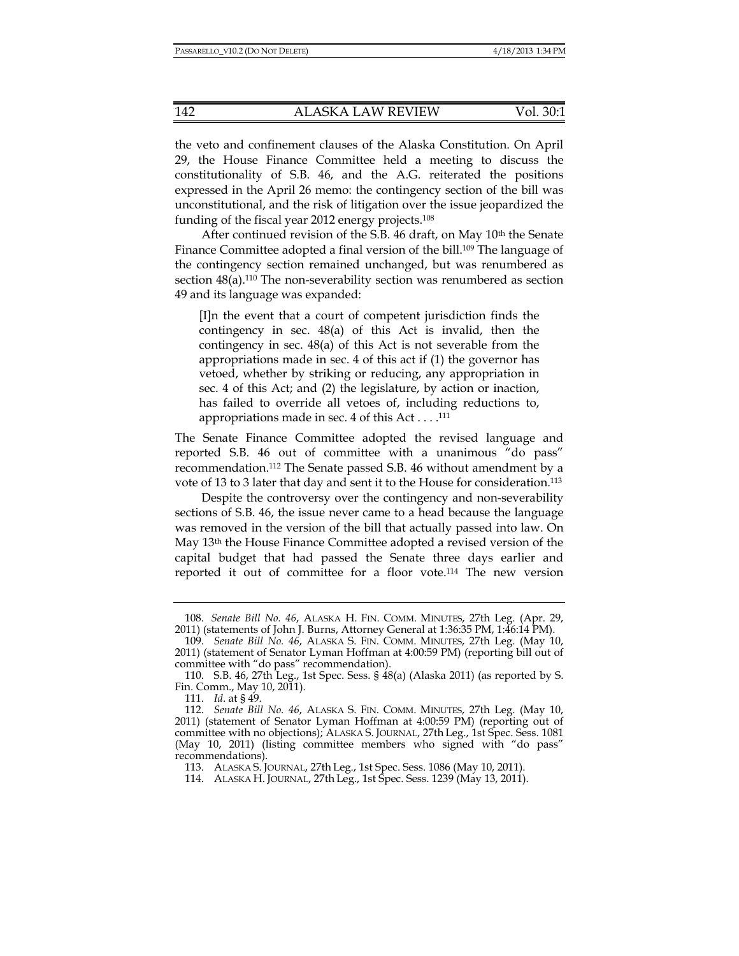the veto and confinement clauses of the Alaska Constitution. On April 29, the House Finance Committee held a meeting to discuss the constitutionality of S.B. 46, and the A.G. reiterated the positions expressed in the April 26 memo: the contingency section of the bill was unconstitutional, and the risk of litigation over the issue jeopardized the funding of the fiscal year 2012 energy projects.108

After continued revision of the S.B. 46 draft, on May 10<sup>th</sup> the Senate Finance Committee adopted a final version of the bill.<sup>109</sup> The language of the contingency section remained unchanged, but was renumbered as section  $48(a)$ .<sup>110</sup> The non-severability section was renumbered as section 49 and its language was expanded:

[I]n the event that a court of competent jurisdiction finds the contingency in sec. 48(a) of this Act is invalid, then the contingency in sec. 48(a) of this Act is not severable from the appropriations made in sec. 4 of this act if (1) the governor has vetoed, whether by striking or reducing, any appropriation in sec. 4 of this Act; and (2) the legislature, by action or inaction, has failed to override all vetoes of, including reductions to, appropriations made in sec. 4 of this Act . . . .111

The Senate Finance Committee adopted the revised language and reported S.B. 46 out of committee with a unanimous "do pass" recommendation.112 The Senate passed S.B. 46 without amendment by a vote of 13 to 3 later that day and sent it to the House for consideration.<sup>113</sup>

Despite the controversy over the contingency and non-severability sections of S.B. 46, the issue never came to a head because the language was removed in the version of the bill that actually passed into law. On May 13th the House Finance Committee adopted a revised version of the capital budget that had passed the Senate three days earlier and reported it out of committee for a floor vote.114 The new version

 <sup>108.</sup> *Senate Bill No. 46*, ALASKA H. FIN. COMM. MINUTES, 27th Leg. (Apr. 29, 2011) (statements of John J. Burns, Attorney General at 1:36:35 PM, 1:46:14 PM).

 <sup>109.</sup> *Senate Bill No. 46*, ALASKA S. FIN. COMM. MINUTES, 27th Leg. (May 10, 2011) (statement of Senator Lyman Hoffman at 4:00:59 PM) (reporting bill out of committee with "do pass" recommendation).

 <sup>110.</sup> S.B. 46, 27th Leg., 1st Spec. Sess. § 48(a) (Alaska 2011) (as reported by S. Fin. Comm., May 10, 2011).

 <sup>111.</sup> *Id*. at § 49.

 <sup>112.</sup> *Senate Bill No. 46*, ALASKA S. FIN. COMM. MINUTES, 27th Leg. (May 10, 2011) (statement of Senator Lyman Hoffman at 4:00:59 PM) (reporting out of committee with no objections); ALASKA S. JOURNAL, 27th Leg., 1st Spec. Sess. 1081 (May 10, 2011) (listing committee members who signed with "do pass" recommendations).

 <sup>113.</sup> ALASKA S. JOURNAL, 27th Leg., 1st Spec. Sess. 1086 (May 10, 2011).

 <sup>114.</sup> ALASKA H. JOURNAL, 27th Leg., 1st Spec. Sess. 1239 (May 13, 2011).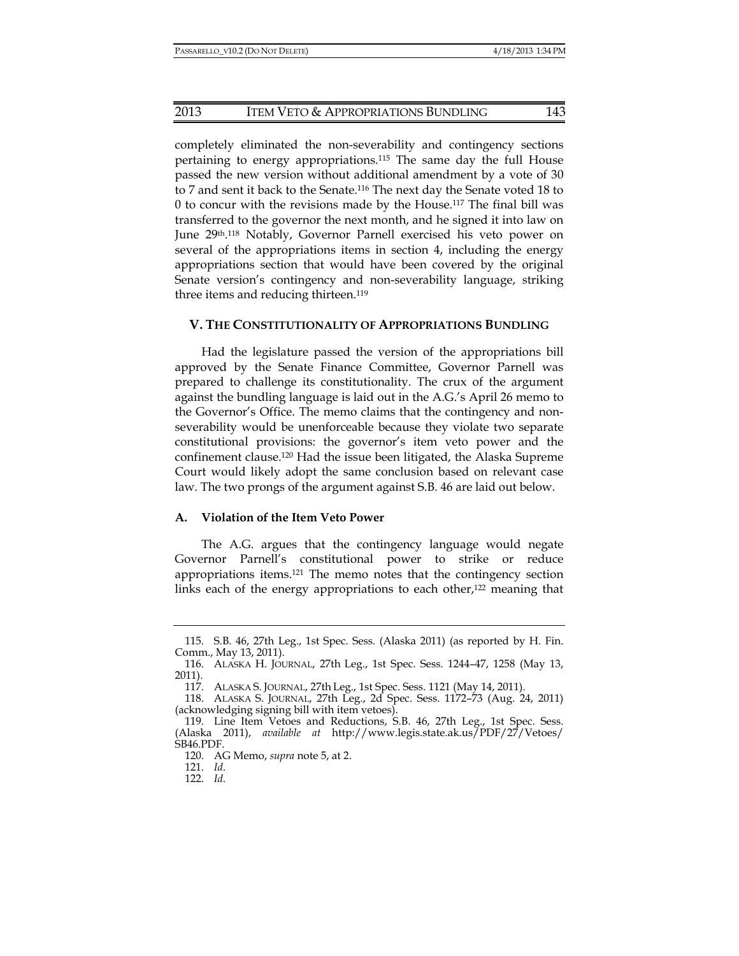#### 2013 ITEM VETO & APPROPRIATIONS BUNDLING 143

completely eliminated the non-severability and contingency sections pertaining to energy appropriations.115 The same day the full House passed the new version without additional amendment by a vote of 30 to 7 and sent it back to the Senate.116 The next day the Senate voted 18 to 0 to concur with the revisions made by the House.117 The final bill was transferred to the governor the next month, and he signed it into law on June 29<sup>th</sup>.<sup>118</sup> Notably, Governor Parnell exercised his veto power on several of the appropriations items in section 4, including the energy appropriations section that would have been covered by the original Senate version's contingency and non-severability language, striking three items and reducing thirteen.<sup>119</sup>

#### **V. THE CONSTITUTIONALITY OF APPROPRIATIONS BUNDLING**

Had the legislature passed the version of the appropriations bill approved by the Senate Finance Committee, Governor Parnell was prepared to challenge its constitutionality. The crux of the argument against the bundling language is laid out in the A.G.'s April 26 memo to the Governor's Office. The memo claims that the contingency and nonseverability would be unenforceable because they violate two separate constitutional provisions: the governor's item veto power and the confinement clause.120 Had the issue been litigated, the Alaska Supreme Court would likely adopt the same conclusion based on relevant case law. The two prongs of the argument against S.B. 46 are laid out below.

#### **A. Violation of the Item Veto Power**

The A.G. argues that the contingency language would negate Governor Parnell's constitutional power to strike or reduce appropriations items.121 The memo notes that the contingency section links each of the energy appropriations to each other,<sup>122</sup> meaning that

 <sup>115.</sup> S.B. 46, 27th Leg., 1st Spec. Sess. (Alaska 2011) (as reported by H. Fin. Comm., May 13, 2011).

 <sup>116.</sup> ALASKA H. JOURNAL, 27th Leg., 1st Spec. Sess. 1244–47, 1258 (May 13, 2011).

 <sup>117.</sup> ALASKA S. JOURNAL, 27th Leg., 1st Spec. Sess. 1121 (May 14, 2011).

 <sup>118.</sup> ALASKA S. JOURNAL, 27th Leg., 2d Spec. Sess. 1172–73 (Aug. 24, 2011) (acknowledging signing bill with item vetoes).

 <sup>119.</sup> Line Item Vetoes and Reductions, S.B. 46, 27th Leg., 1st Spec. Sess. (Alaska 2011), *available at* http://www.legis.state.ak.us/PDF/27/Vetoes/ SB46.PDF.

 <sup>120.</sup> AG Memo, *supra* note 5, at 2.

 <sup>121.</sup> *Id*.

 <sup>122.</sup> *Id*.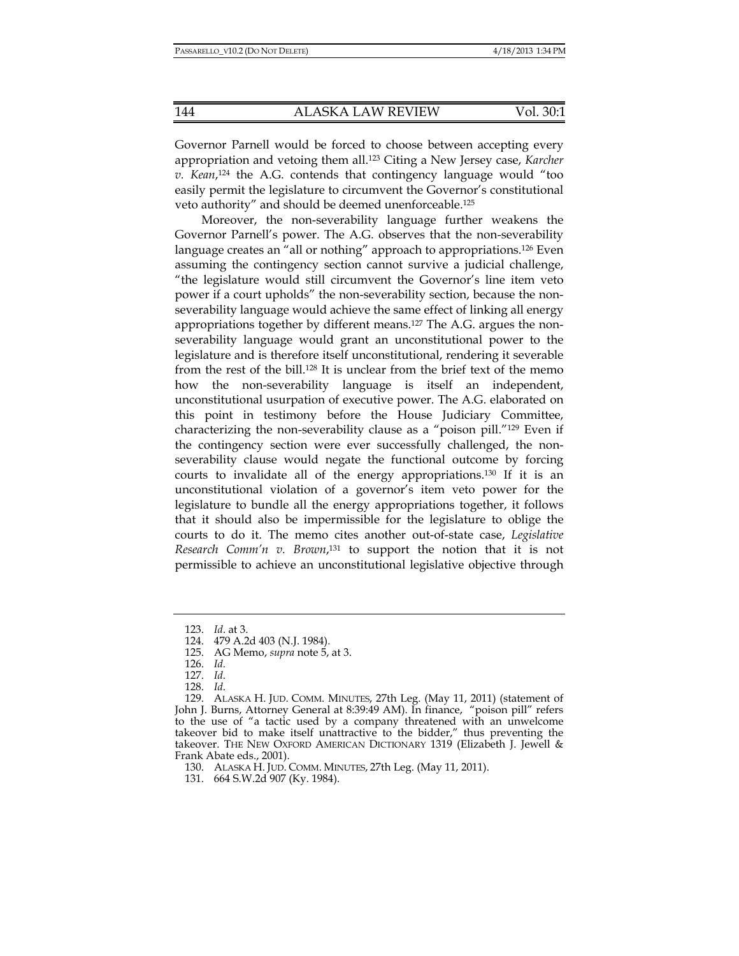Governor Parnell would be forced to choose between accepting every appropriation and vetoing them all.123 Citing a New Jersey case, *Karcher v. Kean*, 124 the A.G. contends that contingency language would "too easily permit the legislature to circumvent the Governor's constitutional veto authority" and should be deemed unenforceable.125

Moreover, the non-severability language further weakens the Governor Parnell's power. The A.G. observes that the non-severability language creates an "all or nothing" approach to appropriations.<sup>126</sup> Even assuming the contingency section cannot survive a judicial challenge, "the legislature would still circumvent the Governor's line item veto power if a court upholds" the non-severability section, because the nonseverability language would achieve the same effect of linking all energy appropriations together by different means.127 The A.G. argues the nonseverability language would grant an unconstitutional power to the legislature and is therefore itself unconstitutional, rendering it severable from the rest of the bill.128 It is unclear from the brief text of the memo how the non-severability language is itself an independent, unconstitutional usurpation of executive power. The A.G. elaborated on this point in testimony before the House Judiciary Committee, characterizing the non-severability clause as a "poison pill."129 Even if the contingency section were ever successfully challenged, the nonseverability clause would negate the functional outcome by forcing courts to invalidate all of the energy appropriations.130 If it is an unconstitutional violation of a governor's item veto power for the legislature to bundle all the energy appropriations together, it follows that it should also be impermissible for the legislature to oblige the courts to do it. The memo cites another out-of-state case, *Legislative Research Comm'n v. Brown*, 131 to support the notion that it is not permissible to achieve an unconstitutional legislative objective through

130. ALASKA H. JUD. COMM. MINUTES, 27th Leg. (May 11, 2011).

 <sup>123.</sup> *Id*. at 3.

 <sup>124. 479</sup> A.2d 403 (N.J. 1984).

 <sup>125.</sup> AG Memo, *supra* note 5, at 3.

 <sup>126.</sup> *Id.*

 <sup>127.</sup> *Id*.

 <sup>128.</sup> *Id*.

 <sup>129.</sup> ALASKA H. JUD. COMM. MINUTES, 27th Leg. (May 11, 2011) (statement of John J. Burns, Attorney General at 8:39:49 AM). In finance, "poison pill" refers to the use of "a tactic used by a company threatened with an unwelcome takeover bid to make itself unattractive to the bidder," thus preventing the takeover. THE NEW OXFORD AMERICAN DICTIONARY 1319 (Elizabeth J. Jewell & Frank Abate eds., 2001).

 <sup>131. 664</sup> S.W.2d 907 (Ky. 1984).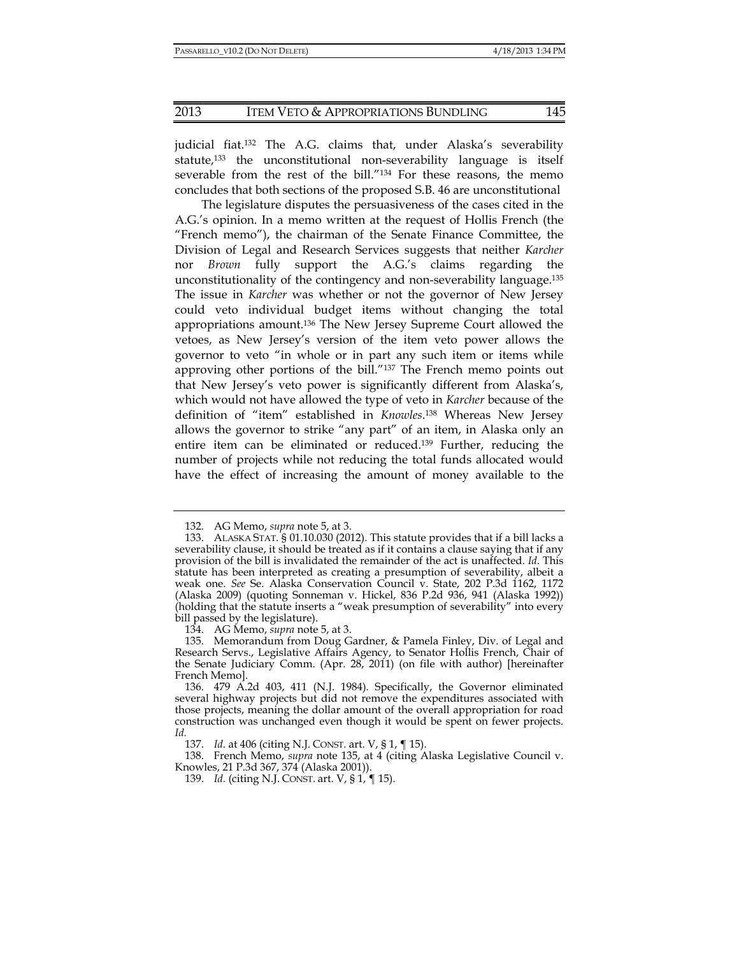judicial fiat.132 The A.G. claims that, under Alaska's severability statute,133 the unconstitutional non-severability language is itself severable from the rest of the bill."134 For these reasons, the memo concludes that both sections of the proposed S.B. 46 are unconstitutional

The legislature disputes the persuasiveness of the cases cited in the A.G.'s opinion. In a memo written at the request of Hollis French (the "French memo"), the chairman of the Senate Finance Committee, the Division of Legal and Research Services suggests that neither *Karcher* nor *Brown* fully support the A.G.'s claims regarding the unconstitutionality of the contingency and non-severability language.135 The issue in *Karcher* was whether or not the governor of New Jersey could veto individual budget items without changing the total appropriations amount.136 The New Jersey Supreme Court allowed the vetoes, as New Jersey's version of the item veto power allows the governor to veto "in whole or in part any such item or items while approving other portions of the bill."137 The French memo points out that New Jersey's veto power is significantly different from Alaska's, which would not have allowed the type of veto in *Karcher* because of the definition of "item" established in *Knowles*. 138 Whereas New Jersey allows the governor to strike "any part" of an item, in Alaska only an entire item can be eliminated or reduced.139 Further, reducing the number of projects while not reducing the total funds allocated would have the effect of increasing the amount of money available to the

 <sup>132.</sup> AG Memo, *supra* note 5, at 3.

 <sup>133.</sup> ALASKA STAT. § 01.10.030 (2012). This statute provides that if a bill lacks a severability clause, it should be treated as if it contains a clause saying that if any provision of the bill is invalidated the remainder of the act is unaffected. *Id*. This statute has been interpreted as creating a presumption of severability, albeit a weak one. *See* Se. Alaska Conservation Council v. State, 202 P.3d 1162, 1172 (Alaska 2009) (quoting Sonneman v. Hickel, 836 P.2d 936, 941 (Alaska 1992)) (holding that the statute inserts a "weak presumption of severability" into every bill passed by the legislature).

 <sup>134.</sup> AG Memo, *supra* note 5, at 3.

 <sup>135.</sup> Memorandum from Doug Gardner, & Pamela Finley, Div. of Legal and Research Servs., Legislative Affairs Agency, to Senator Hollis French, Chair of the Senate Judiciary Comm. (Apr. 28, 2011) (on file with author) [hereinafter French Memo].

 <sup>136. 479</sup> A.2d 403, 411 (N.J. 1984). Specifically, the Governor eliminated several highway projects but did not remove the expenditures associated with those projects, meaning the dollar amount of the overall appropriation for road construction was unchanged even though it would be spent on fewer projects. *Id.*

 <sup>137.</sup> *Id*. at 406 (citing N.J. CONST. art. V, § 1, ¶ 15).

 <sup>138.</sup> French Memo, *supra* note 135, at 4 (citing Alaska Legislative Council v. Knowles, 21 P.3d 367, 374 (Alaska 2001)).

 <sup>139.</sup> *Id.* (citing N.J. CONST. art. V, § 1, ¶ 15).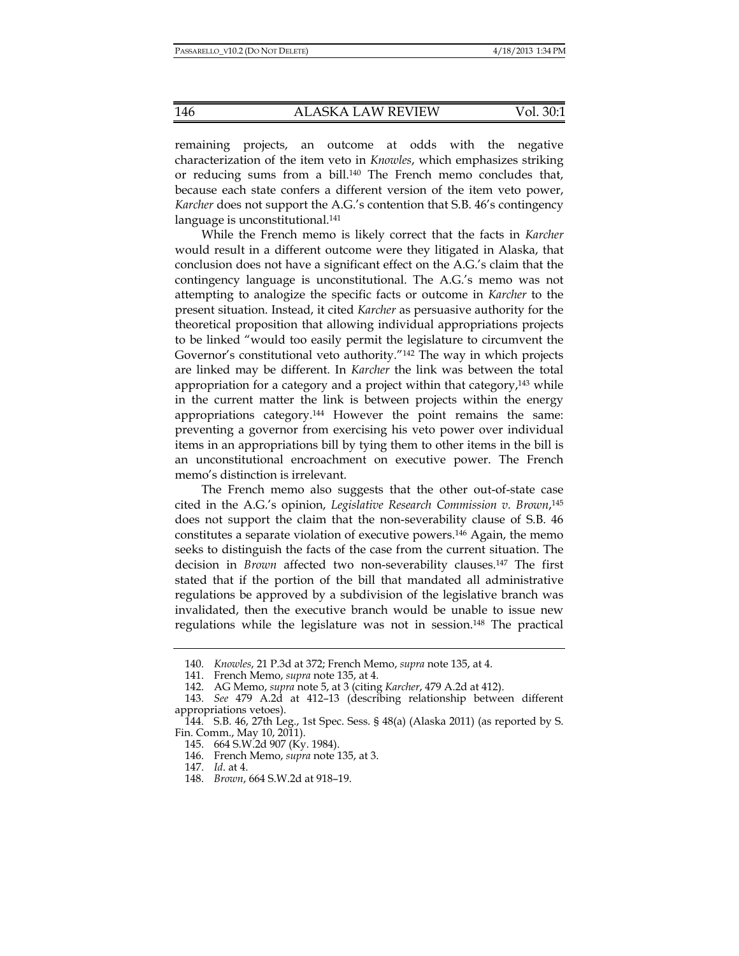remaining projects, an outcome at odds with the negative characterization of the item veto in *Knowles*, which emphasizes striking or reducing sums from a bill.140 The French memo concludes that, because each state confers a different version of the item veto power, *Karcher* does not support the A.G.'s contention that S.B. 46's contingency language is unconstitutional.<sup>141</sup>

While the French memo is likely correct that the facts in *Karcher* would result in a different outcome were they litigated in Alaska, that conclusion does not have a significant effect on the A.G.'s claim that the contingency language is unconstitutional. The A.G.'s memo was not attempting to analogize the specific facts or outcome in *Karcher* to the present situation. Instead, it cited *Karcher* as persuasive authority for the theoretical proposition that allowing individual appropriations projects to be linked "would too easily permit the legislature to circumvent the Governor's constitutional veto authority."142 The way in which projects are linked may be different. In *Karcher* the link was between the total appropriation for a category and a project within that category, $143$  while in the current matter the link is between projects within the energy appropriations category.144 However the point remains the same: preventing a governor from exercising his veto power over individual items in an appropriations bill by tying them to other items in the bill is an unconstitutional encroachment on executive power. The French memo's distinction is irrelevant.

The French memo also suggests that the other out-of-state case cited in the A.G.'s opinion, *Legislative Research Commission v. Brown*, 145 does not support the claim that the non-severability clause of S.B. 46 constitutes a separate violation of executive powers.146 Again, the memo seeks to distinguish the facts of the case from the current situation. The decision in *Brown* affected two non-severability clauses.147 The first stated that if the portion of the bill that mandated all administrative regulations be approved by a subdivision of the legislative branch was invalidated, then the executive branch would be unable to issue new regulations while the legislature was not in session.148 The practical

 <sup>140.</sup> *Knowles*, 21 P.3d at 372; French Memo, *supra* note 135, at 4.

 <sup>141.</sup> French Memo, *supra* note 135, at 4.

 <sup>142.</sup> AG Memo, *supra* note 5, at 3 (citing *Karcher*, 479 A.2d at 412).

 <sup>143.</sup> *See* 479 A.2d at 412–13 (describing relationship between different appropriations vetoes).

 <sup>144.</sup> S.B. 46, 27th Leg., 1st Spec. Sess. § 48(a) (Alaska 2011) (as reported by S. Fin. Comm., May 10, 2011).

 <sup>145. 664</sup> S.W.2d 907 (Ky. 1984).

 <sup>146.</sup> French Memo, *supra* note 135, at 3.

 <sup>147.</sup> *Id*. at 4.

 <sup>148.</sup> *Brown*, 664 S.W.2d at 918–19.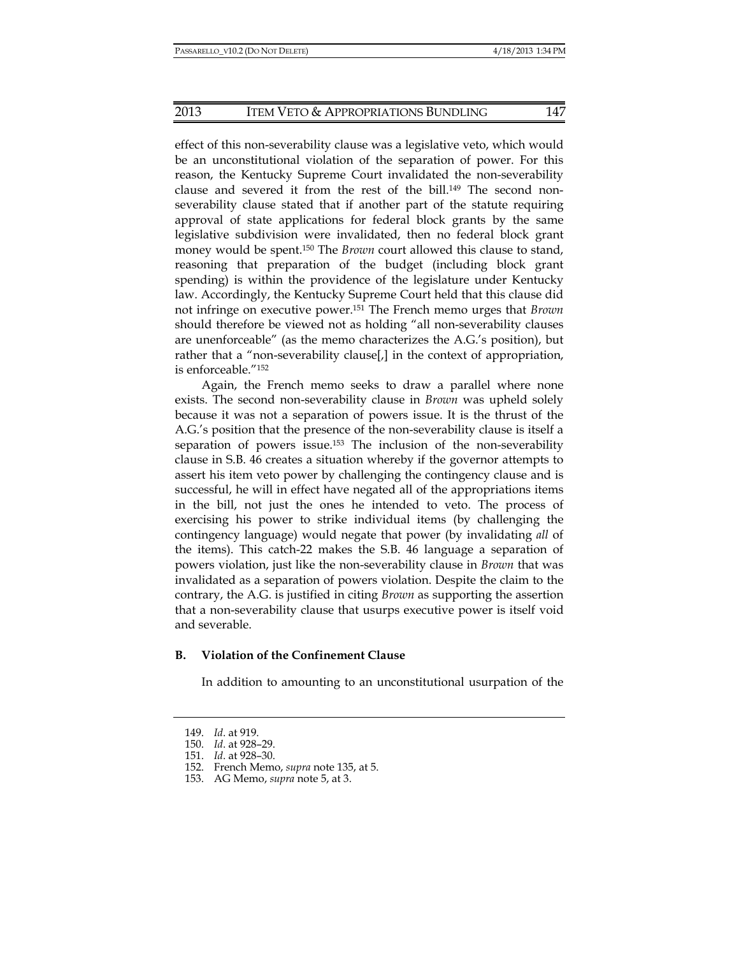effect of this non-severability clause was a legislative veto, which would be an unconstitutional violation of the separation of power. For this reason, the Kentucky Supreme Court invalidated the non-severability clause and severed it from the rest of the bill.149 The second nonseverability clause stated that if another part of the statute requiring approval of state applications for federal block grants by the same legislative subdivision were invalidated, then no federal block grant money would be spent.150 The *Brown* court allowed this clause to stand, reasoning that preparation of the budget (including block grant spending) is within the providence of the legislature under Kentucky law. Accordingly, the Kentucky Supreme Court held that this clause did not infringe on executive power.151 The French memo urges that *Brown* should therefore be viewed not as holding "all non-severability clauses are unenforceable" (as the memo characterizes the A.G.'s position), but rather that a "non-severability clause[,] in the context of appropriation, is enforceable."152

Again, the French memo seeks to draw a parallel where none exists. The second non-severability clause in *Brown* was upheld solely because it was not a separation of powers issue. It is the thrust of the A.G.'s position that the presence of the non-severability clause is itself a separation of powers issue.<sup>153</sup> The inclusion of the non-severability clause in S.B. 46 creates a situation whereby if the governor attempts to assert his item veto power by challenging the contingency clause and is successful, he will in effect have negated all of the appropriations items in the bill, not just the ones he intended to veto. The process of exercising his power to strike individual items (by challenging the contingency language) would negate that power (by invalidating *all* of the items). This catch-22 makes the S.B. 46 language a separation of powers violation, just like the non-severability clause in *Brown* that was invalidated as a separation of powers violation. Despite the claim to the contrary, the A.G. is justified in citing *Brown* as supporting the assertion that a non-severability clause that usurps executive power is itself void and severable.

# **B. Violation of the Confinement Clause**

In addition to amounting to an unconstitutional usurpation of the

 <sup>149.</sup> *Id*. at 919.

 <sup>150.</sup> *Id*. at 928–29.

 <sup>151.</sup> *Id*. at 928–30.

 <sup>152.</sup> French Memo, *supra* note 135, at 5.

 <sup>153.</sup> AG Memo, *supra* note 5, at 3.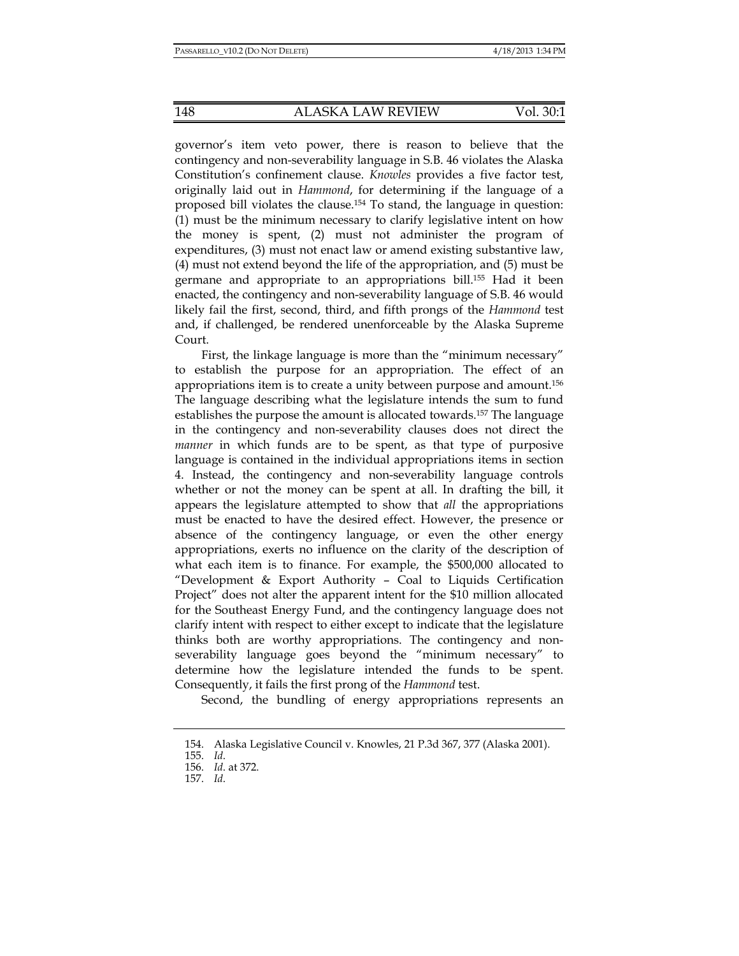governor's item veto power, there is reason to believe that the contingency and non-severability language in S.B. 46 violates the Alaska Constitution's confinement clause. *Knowles* provides a five factor test, originally laid out in *Hammond*, for determining if the language of a proposed bill violates the clause.154 To stand, the language in question: (1) must be the minimum necessary to clarify legislative intent on how the money is spent, (2) must not administer the program of expenditures, (3) must not enact law or amend existing substantive law, (4) must not extend beyond the life of the appropriation, and (5) must be germane and appropriate to an appropriations bill.155 Had it been enacted, the contingency and non-severability language of S.B. 46 would likely fail the first, second, third, and fifth prongs of the *Hammond* test and, if challenged, be rendered unenforceable by the Alaska Supreme Court.

First, the linkage language is more than the "minimum necessary" to establish the purpose for an appropriation. The effect of an appropriations item is to create a unity between purpose and amount.156 The language describing what the legislature intends the sum to fund establishes the purpose the amount is allocated towards.157 The language in the contingency and non-severability clauses does not direct the *manner* in which funds are to be spent, as that type of purposive language is contained in the individual appropriations items in section 4. Instead, the contingency and non-severability language controls whether or not the money can be spent at all. In drafting the bill, it appears the legislature attempted to show that *all* the appropriations must be enacted to have the desired effect. However, the presence or absence of the contingency language, or even the other energy appropriations, exerts no influence on the clarity of the description of what each item is to finance. For example, the \$500,000 allocated to "Development & Export Authority – Coal to Liquids Certification Project" does not alter the apparent intent for the \$10 million allocated for the Southeast Energy Fund, and the contingency language does not clarify intent with respect to either except to indicate that the legislature thinks both are worthy appropriations. The contingency and nonseverability language goes beyond the "minimum necessary" to determine how the legislature intended the funds to be spent. Consequently, it fails the first prong of the *Hammond* test.

Second, the bundling of energy appropriations represents an

 <sup>154.</sup> Alaska Legislative Council v. Knowles, 21 P.3d 367, 377 (Alaska 2001).

 <sup>155.</sup> *Id*.

 <sup>156.</sup> *Id*. at 372.

 <sup>157.</sup> *Id*.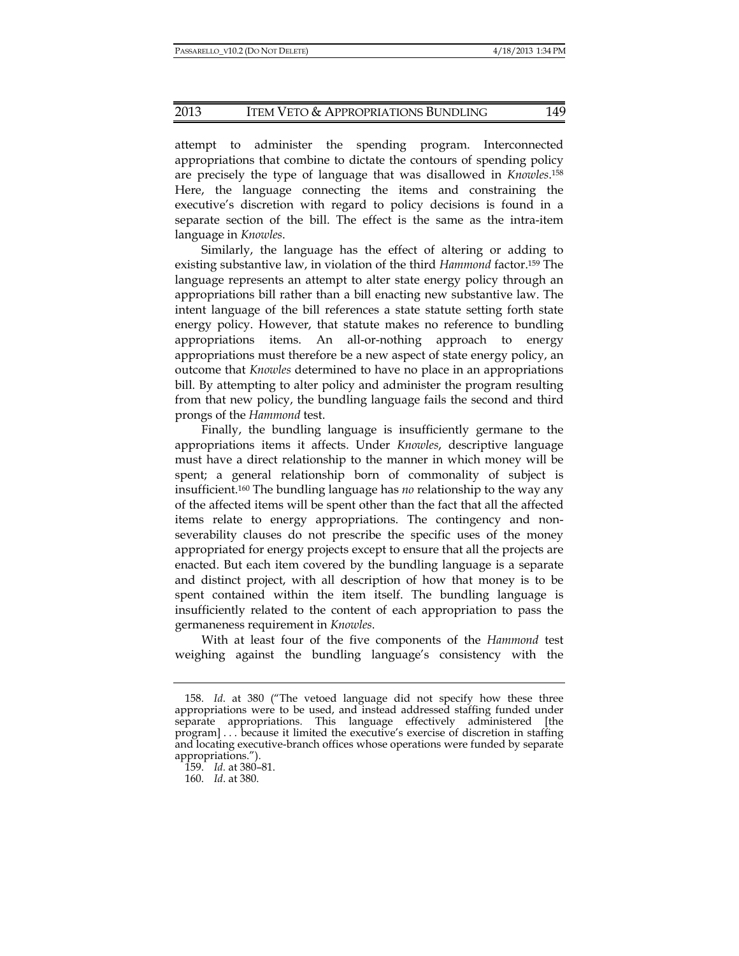attempt to administer the spending program. Interconnected appropriations that combine to dictate the contours of spending policy are precisely the type of language that was disallowed in *Knowles*.158 Here, the language connecting the items and constraining the executive's discretion with regard to policy decisions is found in a separate section of the bill. The effect is the same as the intra-item language in *Knowles*.

Similarly, the language has the effect of altering or adding to existing substantive law, in violation of the third *Hammond* factor.159 The language represents an attempt to alter state energy policy through an appropriations bill rather than a bill enacting new substantive law. The intent language of the bill references a state statute setting forth state energy policy. However, that statute makes no reference to bundling appropriations items. An all-or-nothing approach to energy appropriations must therefore be a new aspect of state energy policy, an outcome that *Knowles* determined to have no place in an appropriations bill. By attempting to alter policy and administer the program resulting from that new policy, the bundling language fails the second and third prongs of the *Hammond* test.

Finally, the bundling language is insufficiently germane to the appropriations items it affects. Under *Knowles*, descriptive language must have a direct relationship to the manner in which money will be spent; a general relationship born of commonality of subject is insufficient.160 The bundling language has *no* relationship to the way any of the affected items will be spent other than the fact that all the affected items relate to energy appropriations. The contingency and nonseverability clauses do not prescribe the specific uses of the money appropriated for energy projects except to ensure that all the projects are enacted. But each item covered by the bundling language is a separate and distinct project, with all description of how that money is to be spent contained within the item itself. The bundling language is insufficiently related to the content of each appropriation to pass the germaneness requirement in *Knowles*.

With at least four of the five components of the *Hammond* test weighing against the bundling language's consistency with the

 <sup>158.</sup> *Id*. at 380 ("The vetoed language did not specify how these three appropriations were to be used, and instead addressed staffing funded under separate appropriations. This language effectively administered [the program] . . . because it limited the executive's exercise of discretion in staffing and locating executive-branch offices whose operations were funded by separate appropriations.").

 <sup>159.</sup> *Id.* at 380–81.

 <sup>160.</sup> *Id*. at 380.